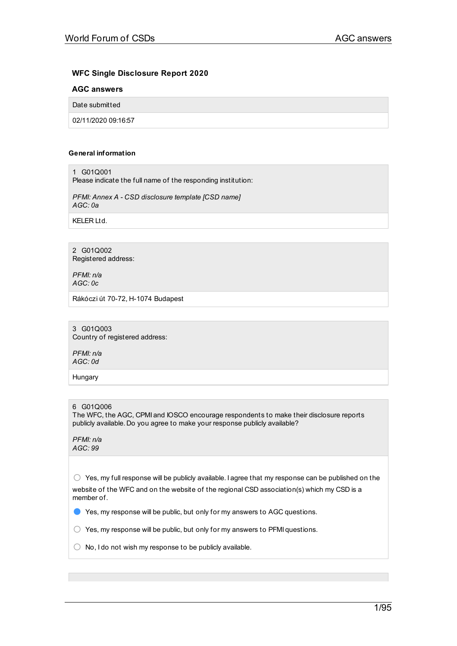# **WFC Single Disclosure Report 2020**

# **AGC answers**

Date submitted

02/11/2020 09:16:57

## **General information**

1 G01Q001

Please indicate the full name of the responding institution:

*PFMI: Annex A - CSD disclosure template [CSD name] AGC: 0a*

KELER Ltd.

2 G01Q002 Registered address:

*PFMI: n/a AGC: 0c*

Rákóczi út 70-72, H-1074 Budapest

3 G01Q003 Country of registered address:

*PFMI: n/a AGC: 0d*

**Hungary** 

## 6 G01Q006

The WFC, the AGC, CPMI and IOSCO encourage respondents to make their disclosure reports publicly available. Do you agree to make your response publicly available?

*PFMI: n/a AGC: 99*

 $\circlearrowright$  Yes, my full response will be publicly available. I agree that my response can be published on the website of the WFC and on the website of the regional CSD association(s) which my CSD is a member of.

● Yes, my response will be public, but only for my answers to AGC questions.

 $\bigcirc$  Yes, my response will be public, but only for my answers to PFMI questions.

 $\bigcirc$  No, I do not wish my response to be publicly available.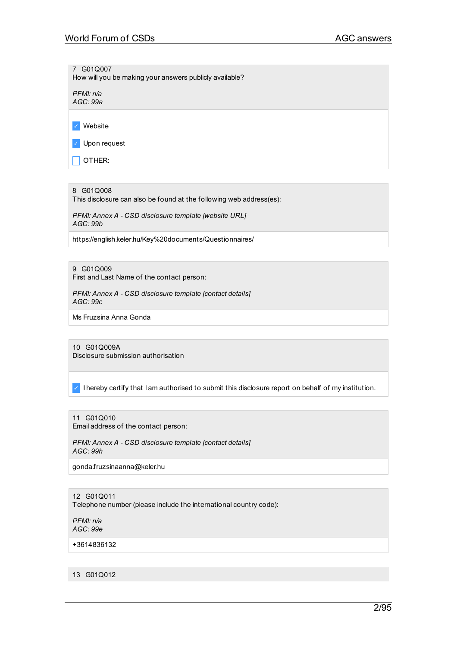7 G01Q007

How will you be making your answers publicly available?

*PFMI: n/a AGC: 99a*

✓ Website

✓ Upon request

 $\Box$  OTHER:

8 G01Q008

This disclosure can also be found at the following web address(es):

*PFMI: Annex A - CSD disclosure template [website URL] AGC: 99b*

https://english.keler.hu/Key%20documents/Questionnaires/

9 G01Q009

First and Last Name of the contact person:

*PFMI: Annex A - CSD disclosure template [contact details] AGC: 99c*

Ms Fruzsina Anna Gonda

10 G01Q009A Disclosure submission authorisation

✓ I hereby certify that I am authorised to submit this disclosure report on behalf of my institution.

11 G01Q010

Email address of the contact person:

*PFMI: Annex A - CSD disclosure template [contact details] AGC: 99h*

gonda.fruzsinaanna@keler.hu

12 G01Q011

Telephone number (please include the international country code):

*PFMI: n/a AGC: 99e*

+3614836132

13 G01Q012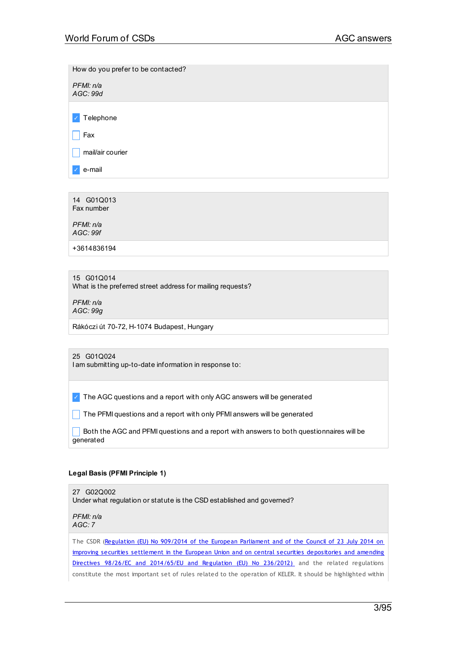How do you prefer to be contacted?

*PFMI: n/a AGC: 99d*

✓ Telephone

 $\Box$  Fax

 $\Box$  mail/air courier

✓ e-mail

14 G01Q013 Fax number

*PFMI: n/a AGC: 99f*

+3614836194

15 G01Q014

What is the preferred street address for mailing requests?

*PFMI: n/a AGC: 99g*

Rákóczi út 70-72, H-1074 Budapest, Hungary

## 25 G01Q024

I am submitting up-to-date information in response to:

✓ The AGC questions and a report with only AGC answers will be generated

The PFMI questions and a report with only PFMI answers will be generated

 $\Box$  Both the AGC and PFMI questions and a report with answers to both questionnaires will be generated

# **Legal Basis (PFMI Principle 1)**

27 G02Q002 Under what regulation or statute is the CSD established and governed?

*PFMI: n/a AGC: 7*

The CSDR (Regulation (EU) No 909/2014 of the European Parliament and of the Council of 23 July 2014 on improving securities settlement in the European Union and on central securities [depositories](https://eur-lex.europa.eu/legal-content/HU/TXT/PDF/?uri=CELEX:32014R0909&from=HU) and amending Directives 98/26/EC and 2014/65/EU and Regulation (EU) No 236/2012) and the related regulations constitute the most important set of rules related to the operation of KELER. It should be highlighted within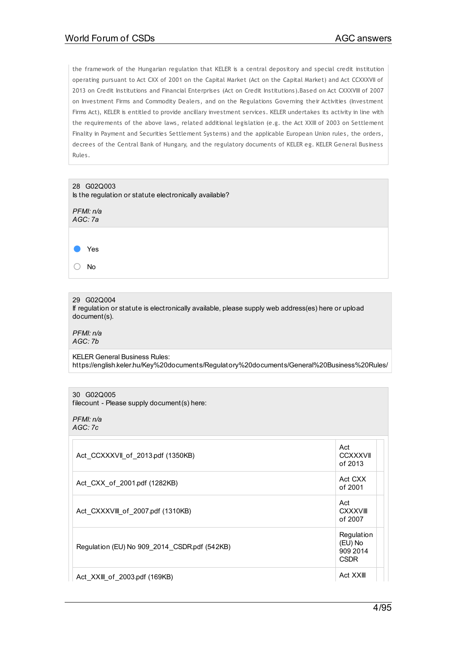the framework of the Hungarian regulation that KELER is a central depository and special credit institution operating pursuant to Act CXX of 2001 on the Capital Market (Act on the Capital Market) and Act CCXXXVII of 2013 on Credit Institutions and Financial Enterprises (Act on Credit Institutions).Based on Act CXXXVIII of 2007 on Investment Firms and Commodity Dealers, and on the Regulations Governing their Activities (Investment Firms Act), KELER is entitled to provide ancillary investment services. KELER undertakes its activity in line with the requirements of the above laws, related additional legislation (e.g. the Act XXIII of 2003 on Settlement Finality in Payment and Securities Settlement Systems) and the applicable European Union rules, the orders, decrees of the Central Bank of Hungary, and the regulatory documents of KELER eg. KELER General Business Rules.



29 G02Q004

If regulation or statute is electronically available, please supply web address(es) here or upload document(s).

*PFMI: n/a AGC: 7b*

KELER General Business Rules: https://english.keler.hu/Key%20documents/Regulatory%20documents/General%20Business%20Rules/

### 30 G02Q005

filecount - Please supply document(s) here:

*PFMI: n/a AGC: 7c*

| Act CCXXXVII of 2013.pdf (1350KB)            | Act<br><b>CCXXXVII</b><br>of 2013                |
|----------------------------------------------|--------------------------------------------------|
| Act CXX of 2001.pdf (1282KB)                 | Act CXX<br>of 2001                               |
| Act CXXXVIII of 2007.pdf (1310KB)            | Act<br><b>CXXXVIII</b><br>of 2007                |
| Regulation (EU) No 909 2014 CSDR.pdf (542KB) | Regulation<br>(EU) No<br>909 2014<br><b>CSDR</b> |
| Act XXIII of 2003.pdf (169KB)                | Act XXIII                                        |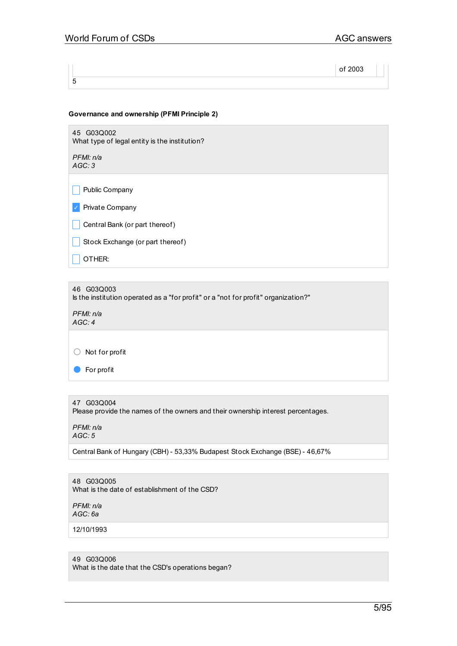# **Governance and ownership (PFMI Principle 2)**

45 G03Q002 What type of legal entity is the institution?

*PFMI: n/a AGC: 3*

 $\Box$  Public Company

✓ Private Company

 $\Box$  Central Bank (or part thereof)

 $\Box$  Stock Exchange (or part thereof)

 $\overline{\phantom{a}}$  OTHER:

46 G03Q003 Is the institution operated as a "for profit" or a "not for profit" organization?"

*PFMI: n/a AGC: 4*

○ Not for profit

● For profit

47 G03Q004 Please provide the names of the owners and their ownership interest percentages.

*PFMI: n/a AGC: 5*

Central Bank of Hungary (CBH) - 53,33% Budapest Stock Exchange (BSE) - 46,67%

48 G03Q005 What is the date of establishment of the CSD?

*PFMI: n/a AGC: 6a*

12/10/1993

## 49 G03Q006

What is the date that the CSD's operations began?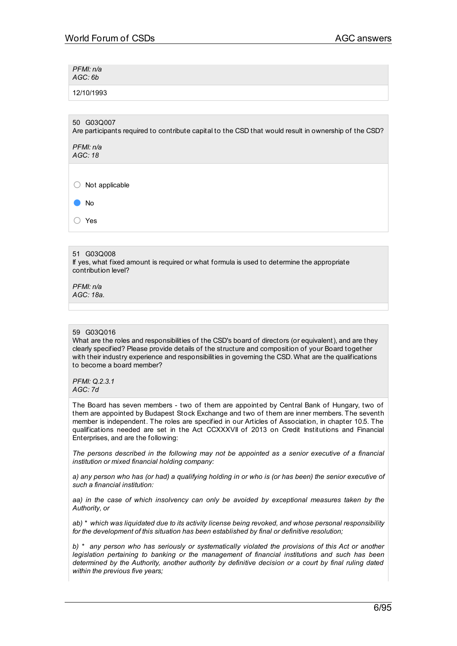*PFMI: n/a AGC: 6b*

12/10/1993

50 G03Q007

Are participants required to contribute capital to the CSD that would result in ownership of the CSD?

*PFMI: n/a AGC: 18*

○ Not applicable

● No

○ Yes

## 51 G03Q008

If yes, what fixed amount is required or what formula is used to determine the appropriate contribution level?

*PFMI: n/a AGC: 18a.*

## 59 G03Q016

What are the roles and responsibilities of the CSD's board of directors (or equivalent), and are they clearly specified? Please provide details of the structure and composition of your Board together with their industry experience and responsibilities in governing the CSD. What are the qualifications to become a board member?

*PFMI: Q.2.3.1 AGC: 7d*

The Board has seven members - two of them are appointed by Central Bank of Hungary, two of them are appointed by Budapest Stock Exchange and two of them are inner members. The seventh member is independent. The roles are specified in our Articles of Association, in chapter 10.5. The qualifications needed are set in the Act CCXXXVII of 2013 on Credit Institutions and Financial Enterprises, and are the following:

*The persons described in the following may not be appointed as a senior executive of a financial institution or mixed financial holding company:*

a) any person who has (or had) a qualifying holding in or who is (or has been) the senior executive of *such a financial institution:*

*aa) in the case of which insolvency can only be avoided by exceptional measures taken by the Authority, or*

*ab) \* which was liquidated due to its activity license being revoked, and whose personal responsibility for the development of this situation has been established by final or definitive resolution;*

*b) \* any person who has seriously or systematically violated the provisions of this Act or another legislation pertaining to banking or the management of financial institutions and such has been determined by the Authority, another authority by definitive decision or a court by final ruling dated within the previous five years;*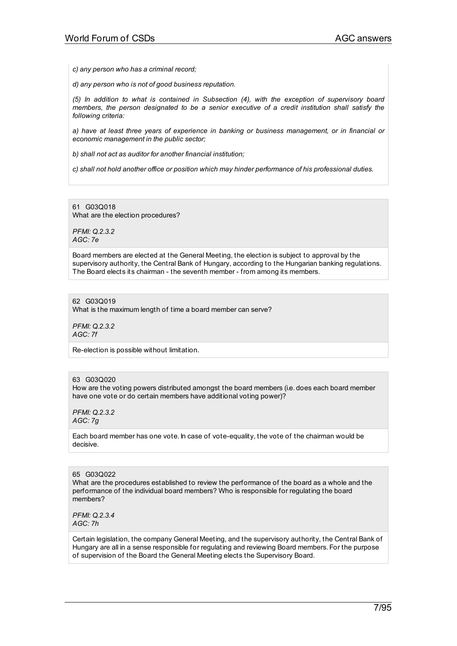*c) any person who has a criminal record;*

*d) any person who is not of good business reputation.*

*(5) In addition to what is contained in Subsection (4), with the exception of supervisory board members, the person designated to be a senior executive of a credit institution shall satisfy the following criteria:*

*a) have at least three years of experience in banking or business management, or in financial or economic management in the public sector;*

*b) shall not act as auditor for another financial institution;*

*c) shall not hold another office or position which may hinder performance of his professional duties.*

61 G03Q018 What are the election procedures?

*PFMI: Q.2.3.2 AGC: 7e*

Board members are elected at the General Meeting, the election is subject to approval by the supervisory authority, the Central Bank of Hungary, according to the Hungarian banking regulations. The Board elects its chairman - the seventh member - from among its members.

## 62 G03Q019

What is the maximum length of time a board member can serve?

*PFMI: Q.2.3.2 AGC: 7f*

Re-election is possible without limitation.

### 63 G03Q020

How are the voting powers distributed amongst the board members (i.e. does each board member have one vote or do certain members have additional voting power)?

*PFMI: Q.2.3.2 AGC: 7g*

Each board member has one vote. In case of vote-equality, the vote of the chairman would be decisive.

## 65 G03Q022

What are the procedures established to review the performance of the board as a whole and the performance of the individual board members? Who is responsible for regulating the board members?

*PFMI: Q.2.3.4 AGC: 7h*

Certain legislation, the company General Meeting, and the supervisory authority, the Central Bank of Hungary are all in a sense responsible for regulating and reviewing Board members. For the purpose of supervision of the Board the General Meeting elects the Supervisory Board.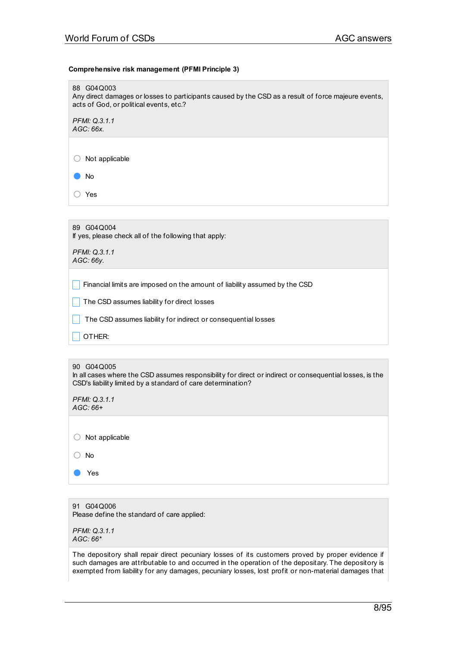### **Comprehensive risk management (PFMI Principle 3)**

| 88 G04Q003<br>Any direct damages or losses to participants caused by the CSD as a result of force majeure events,<br>acts of God, or political events, etc.? |
|--------------------------------------------------------------------------------------------------------------------------------------------------------------|
| PFMI: Q.3.1.1<br>$AGC:66x$ .                                                                                                                                 |
| Not applicable                                                                                                                                               |
| No                                                                                                                                                           |
| Yes                                                                                                                                                          |
|                                                                                                                                                              |

| 89 G04Q004 |  |                                                       |
|------------|--|-------------------------------------------------------|
|            |  | If yes, please check all of the following that apply: |

*PFMI: Q.3.1.1 AGC: 66y.*

 $\Box$  Financial limits are imposed on the amount of liability assumed by the CSD

 $\Box$  The CSD assumes liability for direct losses

 $\Box$  The CSD assumes liability for indirect or consequential losses

OTHER:

|  | 90 G04Q005 |
|--|------------|
|--|------------|

In all cases where the CSD assumes responsibility for direct or indirect or consequential losses, is the CSD's liability limited by a standard of care determination?

*PFMI: Q.3.1.1 AGC: 66+*

○ Not applicable

○ No

● Yes

91 G04Q006 Please define the standard of care applied:

*PFMI: Q.3.1.1 AGC: 66\**

The depository shall repair direct pecuniary losses of its customers proved by proper evidence if such damages are attributable to and occurred in the operation of the depositary. The depository is exempted from liability for any damages, pecuniary losses, lost profit or non-material damages that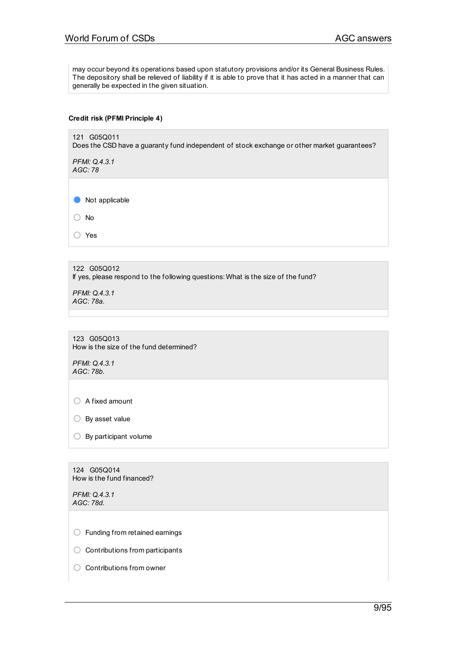may occur beyond its operations based upon statutory provisions and/or its General Business Rules. The depository shall be relieved of liability if it is able to prove that it has acted in a manner that can generally be expected in the given situation.

### **Credit risk (PFMI Principle 4)**

121 G05Q011 Does the CSD have a guaranty fund independent of stock exchange or other market guarantees?

*PFMI: Q.4.3.1 AGC: 78*

● Not applicable

○ No

○ Yes

122 G05Q012 If yes, please respond to the following questions: What is the size of the fund?

*PFMI: Q.4.3.1 AGC: 78a.*

123 G05Q013 How is the size of the fund determined?

*PFMI: Q.4.3.1 AGC: 78b.*

○ <sup>A</sup> fixed amount

 $\bigcirc$  By asset value

| $\bigcirc$ By participant volume |
|----------------------------------|
|                                  |

124 G05Q014 How is the fund financed?

*PFMI: Q.4.3.1 AGC: 78d.*

○ Funding from retained earnings

○ Contributions from participants

○ Contributions from owner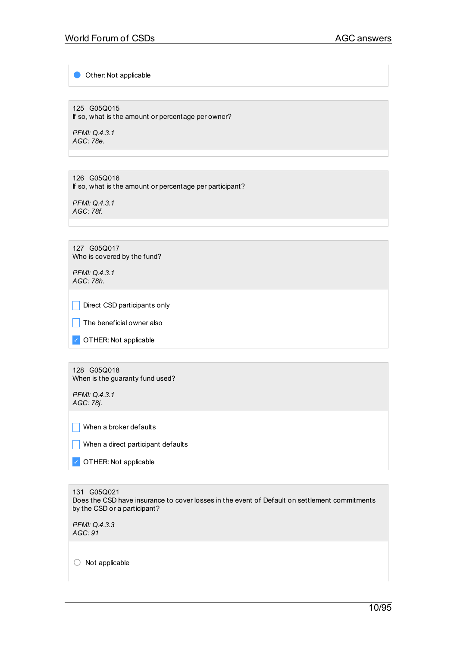Other: Not applicable

125 G05Q015 If so, what is the amount or percentage per owner?

*PFMI: Q.4.3.1 AGC: 78e.*

126 G05Q016 If so, what is the amount or percentage per participant?

*PFMI: Q.4.3.1 AGC: 78f.*

127 G05Q017 Who is covered by the fund?

*PFMI: Q.4.3.1 AGC: 78h.*

 $\Box$  Direct CSD participants only

 $\Box$  The beneficial owner also

✓ OTHER: Not applicable

128 G05Q018 When is the guaranty fund used?

*PFMI: Q.4.3.1 AGC: 78j.*

 $\Box$  When a broker defaults

 $\Box$  When a direct participant defaults

✓ OTHER: Not applicable

131 G05Q021 Does the CSD have insurance to cover losses in the event of Default on settlement commitments by the CSD or a participant?

*PFMI: Q.4.3.3 AGC: 91*

○ Not applicable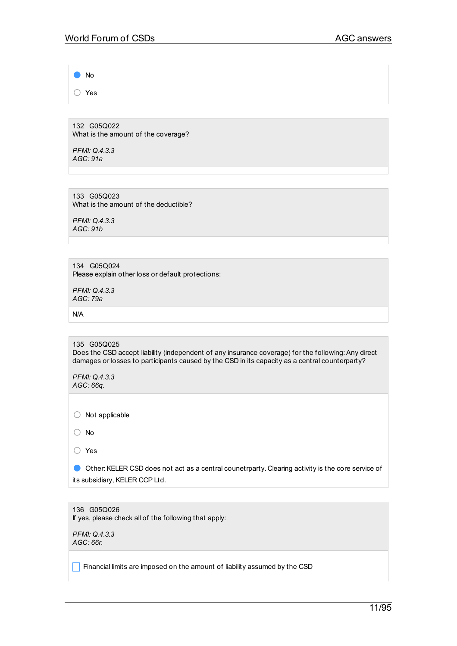● No ○ Yes

132 G05Q022 What is the amount of the coverage?

*PFMI: Q.4.3.3 AGC: 91a*

133 G05Q023 What is the amount of the deductible?

*PFMI: Q.4.3.3 AGC: 91b*

134 G05Q024 Please explain other loss or default protections:

*PFMI: Q.4.3.3 AGC: 79a*

N/A

135 G05Q025 Does the CSD accept liability (independent of any insurance coverage) for the following: Any direct damages or losses to participants caused by the CSD in its capacity as a central counterparty?

*PFMI: Q.4.3.3 AGC: 66q.*

○ Not applicable

○ No

○ Yes

● Other: KELER CSD does not act as a central counetrparty. Clearing activity is the core service of its subsidiary, KELER CCP Ltd.

136 G05Q026 If yes, please check all of the following that apply:

*PFMI: Q.4.3.3 AGC: 66r.*

 $\Box$  Financial limits are imposed on the amount of liability assumed by the CSD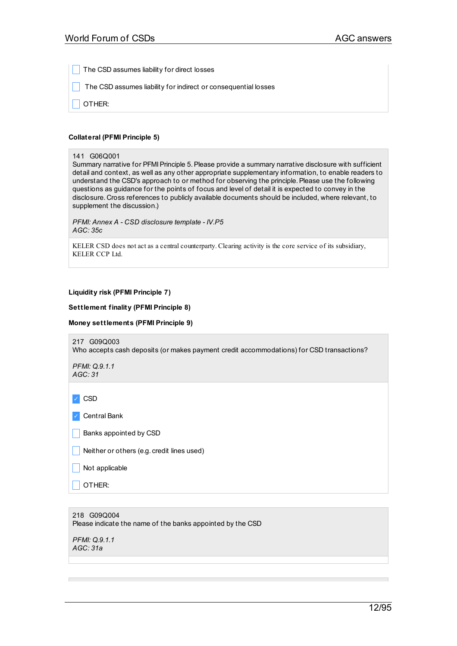The CSD assumes liability for direct losses

The CSD assumes liability for indirect or consequential losses

\_ OTHER:

### **Collateral (PFMI Principle 5)**

#### 141 G06Q001

Summary narrative for PFMI Principle 5. Please provide a summary narrative disclosure with sufficient detail and context, as well as any other appropriate supplementary information, to enable readers to understand the CSD's approach to or method for observing the principle.Please use the following questions as guidance for the points of focus and level of detail it is expected to convey in the disclosure. Cross references to publicly available documents should be included, where relevant, to supplement the discussion.)

*PFMI: Annex A - CSD disclosure template - IV.P5 AGC: 35c*

KELER CSD does not act as a central counterparty. Clearing activity is the core service of its subsidiary, KELER CCP Ltd.

### **Liquidity risk (PFMI Principle 7)**

### **Settlement finality (PFMI Principle 8)**

### **Money settlements (PFMI Principle 9)**

217 G09Q003 Who accepts cash deposits (or makes payment credit accommodations) for CSD transactions?

*PFMI: Q.9.1.1 AGC: 31*

✓ CSD

✓ Central Bank

 $\Box$  Banks appointed by CSD

 $\Box$  Neither or others (e.g. credit lines used)

 $\Box$  Not applicable

\_ OTHER:

218 G09Q004 Please indicate the name of the banks appointed by the CSD

*PFMI: Q.9.1.1 AGC: 31a*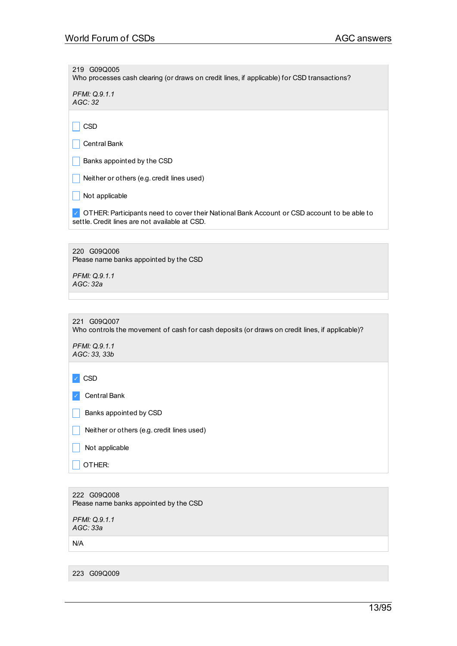219 G09Q005 Who processes cash clearing (or draws on credit lines, if applicable) for CSD transactions?

*PFMI: Q.9.1.1 AGC: 32*

 $\Box$  CSD

 $\vert$  Central Bank

 $\Box$  Banks appointed by the CSD

 $\Box$  Neither or others (e.g. credit lines used)

 $\Box$  Not applicable

✓ OTHER:Participants need to cover their National Bank Account or CSD account to be able to settle. Credit lines are not available at CSD.

220 G09Q006 Please name banks appointed by the CSD

*PFMI: Q.9.1.1 AGC: 32a*

221 G09Q007

Who controls the movement of cash for cash deposits (or draws on credit lines, if applicable)?

*PFMI: Q.9.1.1 AGC: 33, 33b*

✓ CSD

✓ Central Bank

 $\Box$  Banks appointed by CSD

 $\Box$  Neither or others (e.g. credit lines used)

 $\Box$  Not applicable

 $\Box$  Other:

222 G09Q008 Please name banks appointed by the CSD

*PFMI: Q.9.1.1 AGC: 33a*

N/A

223 G09Q009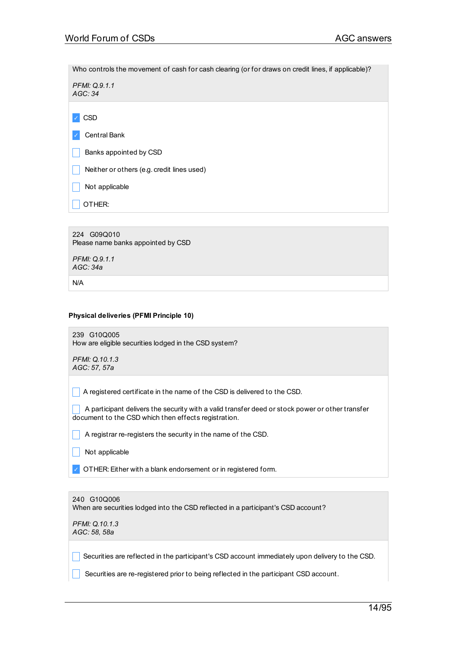Who controls the movement of cash for cash clearing (or for draws on credit lines, if applicable)?

*PFMI: Q.9.1.1 AGC: 34*

✓ CSD

Central Bank

Banks appointed by CSD

Neither or others (e.g. credit lines used)

Not applicable

OTHER:

224 G09Q010 Please name banks appointed by CSD *PFMI: Q.9.1.1*

*AGC: 34a*

N/A

## **Physical deliveries (PFMI Principle 10)**

239 G10Q005 How are eligible securities lodged in the CSD system?

*PFMI: Q.10.1.3 AGC: 57, 57a*

 $\Box$  A registered certificate in the name of the CSD is delivered to the CSD.

A participant delivers the security with a valid transfer deed or stock power or other transfer document to the CSD which then effects registration.

 $\Box$  A registrar re-registers the security in the name of the CSD.

Not applicable

OTHER: Either with a blank endorsement or in registered form.

| 240 G10Q006<br>When are securities lodged into the CSD reflected in a participant's CSD account? |  |
|--------------------------------------------------------------------------------------------------|--|
| PFMI: Q.10.1.3<br>AGC: 58, 58a                                                                   |  |
|                                                                                                  |  |

Securities are reflected in the participant's CSD account immediately upon delivery to the CSD.

Securities are re-registered prior to being reflected in the participant CSD account.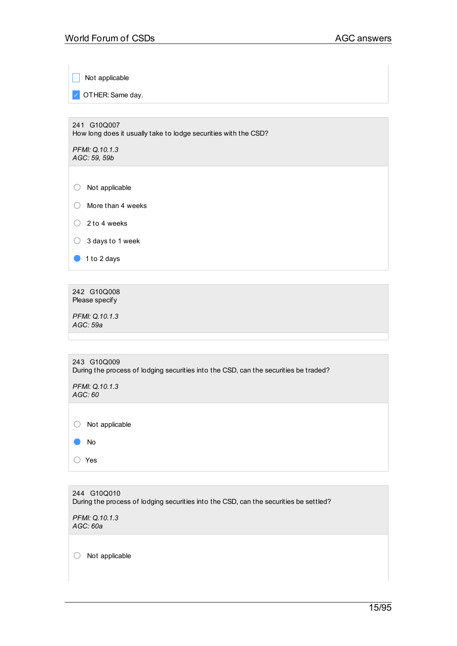$\Box$  Not applicable

✓ OTHER:Same day.

241 G10Q007 How long does it usually take to lodge securities with the CSD?

*PFMI: Q.10.1.3 AGC: 59, 59b*

○ Not applicable

○ More than 4 weeks

 $\bigcirc$  2 to 4 weeks

○ 3 days to 1 week

● 1 to 2 days

242 G10Q008 Please specify

*PFMI: Q.10.1.3 AGC: 59a*

| 243 G10Q009<br>During the process of lodging securities into the CSD, can the securities be traded? |
|-----------------------------------------------------------------------------------------------------|
| PFMI: Q.10.1.3<br>AGC:60                                                                            |
|                                                                                                     |
| Not applicable                                                                                      |
| No                                                                                                  |
| Yes                                                                                                 |

| 244 G10Q010<br>During the process of lodging securities into the CSD, can the securities be settled? |  |
|------------------------------------------------------------------------------------------------------|--|
| PFMI: Q.10.1.3<br>AGC: 60a                                                                           |  |

○ Not applicable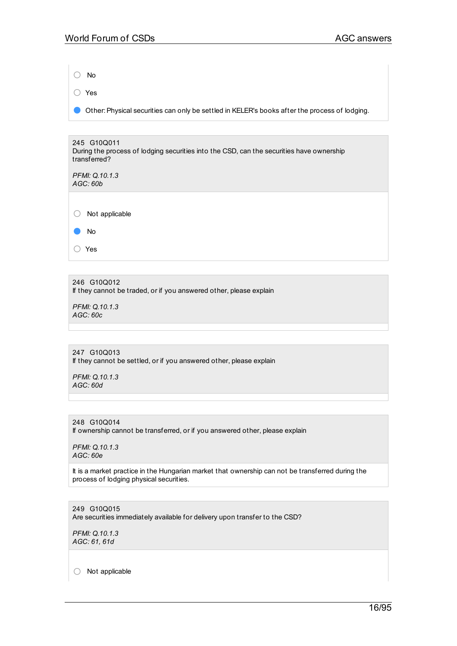○ No ○ Yes

● Other:Physical securities can only be settled in KELER's books after the process of lodging.

245 G10Q011 During the process of lodging securities into the CSD, can the securities have ownership transferred?

*PFMI: Q.10.1.3 AGC: 60b*

○ Not applicable

● No

○ Yes

246 G10Q012 If they cannot be traded, or if you answered other, please explain

*PFMI: Q.10.1.3 AGC: 60c*

247 G10Q013 If they cannot be settled, or if you answered other, please explain

*PFMI: Q.10.1.3 AGC: 60d*

248 G10Q014 If ownership cannot be transferred, or if you answered other, please explain

*PFMI: Q.10.1.3 AGC: 60e*

It is a market practice in the Hungarian market that ownership can not be transferred during the process of lodging physical securities.

249 G10Q015 Are securities immediately available for delivery upon transfer to the CSD?

*PFMI: Q.10.1.3 AGC: 61, 61d*

○ Not applicable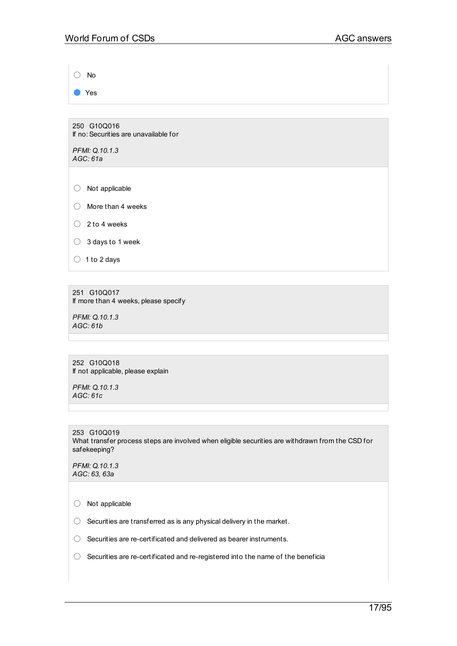○ No

● Yes

250 G10Q016 If no:Securities are unavailable for

*PFMI: Q.10.1.3 AGC: 61a*

○ Not applicable

○ More than 4 weeks

 $\bigcirc$  2 to 4 weeks

○ 3 days to 1 week

 $\bigcirc$  1 to 2 days

251 G10Q017 If more than 4 weeks, please specify

*PFMI: Q.10.1.3 AGC: 61b*

252 G10Q018 If not applicable, please explain

*PFMI: Q.10.1.3 AGC: 61c*

253 G10Q019 What transfer process steps are involved when eligible securities are withdrawn from the CSD for safekeeping?

*PFMI: Q.10.1.3 AGC: 63, 63a*

○ Not applicable

 $\bigcirc$  Securities are transferred as is any physical delivery in the market.

○ Securities are re-certificated and delivered as bearer instruments.

○ Securities are re-certificated and re-registered into the name of the beneficia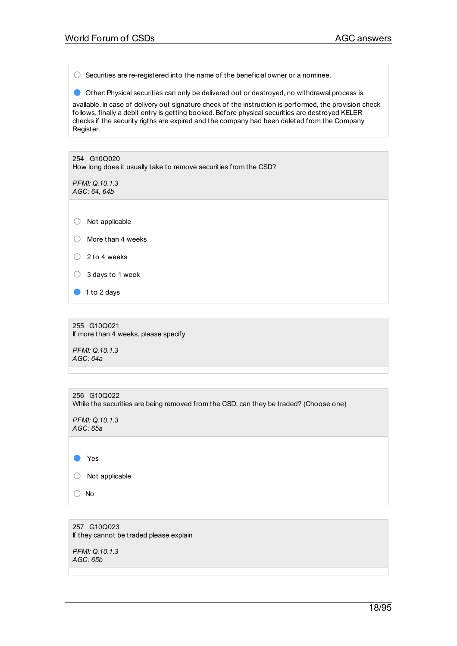$\bigcirc$  Securities are re-registered into the name of the beneficial owner or a nominee.

● Other: Physical securities can only be delivered out or destroyed, no withdrawal process is

available. In case of delivery out signature check of the instruction is performed, the provision check follows, finally a debit entry is getting booked.Before physical securities are destroyed KELER checks if the security rigths are expired and the company had been deleted from the Company Register.

254 G10Q020 How long does it usually take to remove securities from the CSD?

*PFMI: Q.10.1.3 AGC: 64, 64b*

○ Not applicable

- More than <sup>4</sup> weeks
- <sup>2</sup> to <sup>4</sup> weeks
- <sup>3</sup> days to <sup>1</sup> week
- 1 to 2 days

255 G10Q021 If more than 4 weeks, please specify

*PFMI: Q.10.1.3 AGC: 64a*

| 256 G10Q022<br>While the securities are being removed from the CSD, can they be traded? (Choose one) |
|------------------------------------------------------------------------------------------------------|
| PFMI: Q.10.1.3<br>AGC: 65a                                                                           |
|                                                                                                      |
| Yes                                                                                                  |
| Not applicable                                                                                       |
| No                                                                                                   |

257 G10Q023 If they cannot be traded please explain

*PFMI: Q.10.1.3 AGC: 65b*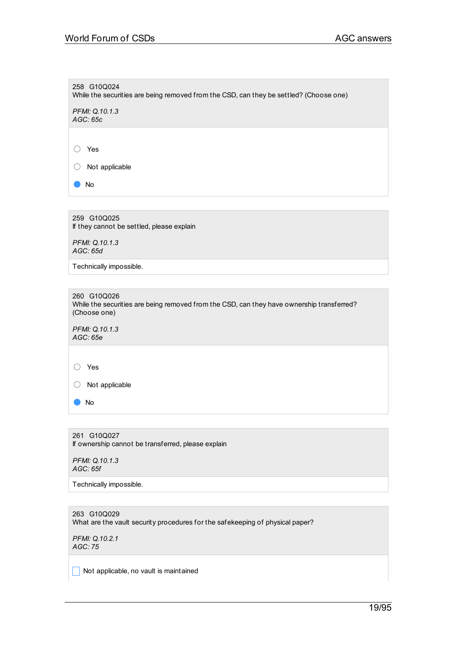258 G10Q024 While the securities are being removed from the CSD, can they be settled? (Choose one) *PFMI: Q.10.1.3 AGC: 65c* ○ Yes ○ Not applicable ● No

259 G10Q025 If they cannot be settled, please explain *PFMI: Q.10.1.3*

*AGC: 65d*

Technically impossible.

260 G10Q026 While the securities are being removed from the CSD, can they have ownership transferred? (Choose one)

*PFMI: Q.10.1.3 AGC: 65e*

○ Yes

○ Not applicable

● No

261 G10Q027 If ownership cannot be transferred, please explain

*PFMI: Q.10.1.3 AGC: 65f*

Technically impossible.

263 G10Q029 What are the vault security procedures for the safekeeping of physical paper?

*PFMI: Q.10.2.1 AGC: 75*

 $\Box$  Not applicable, no vault is maintained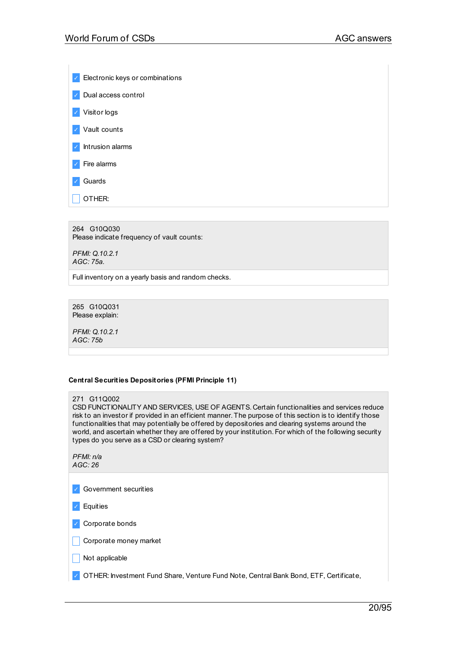✓ Electronic keys or combinations ✓ Dual access control ✓ Visitor logs ✓ Vault counts ✓ Intrusion alarms ✓ Fire alarms ✓ Guards  $\overline{\phantom{a}}$  OTHER:

264 G10Q030 Please indicate frequency of vault counts:

*PFMI: Q.10.2.1 AGC: 75a.*

Full inventory on a yearly basis and random checks.

265 G10Q031 Please explain:

*PFMI: Q.10.2.1 AGC: 75b*

### **Central Securities Depositories (PFMI Principle 11)**

#### 271 G11Q002

CSD FUNCTIONALITY AND SERVICES, USE OF AGENTS. Certain functionalities and services reduce risk to an investor if provided in an efficient manner. The purpose of this section is to identify those functionalities that may potentially be offered by depositories and clearing systems around the world, and ascertain whether they are offered by your institution. For which of the following security types do you serve as a CSD or clearing system?

*PFMI: n/a AGC: 26*

✓ Government securities

✓ Equities

✓ Corporate bonds

 $\Box$  Corporate money market

 $\Box$  Not applicable

✓ OTHER: Investment Fund Share, Venture Fund Note, Central Bank Bond, ETF, Certificate,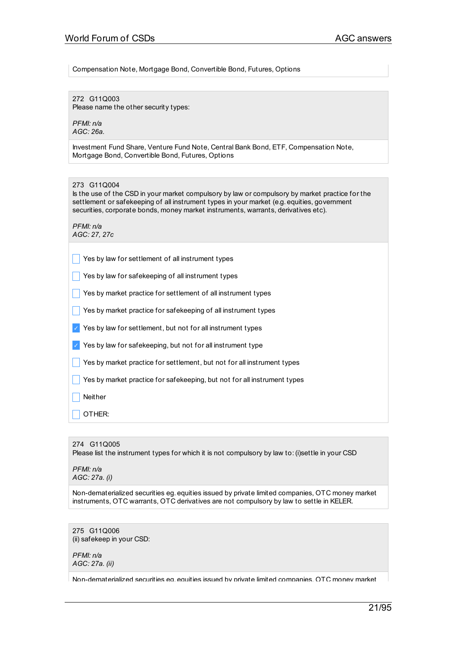Compensation Note, Mortgage Bond, Convertible Bond, Futures, Options

272 G11Q003 Please name the other security types:

*PFMI: n/a AGC: 26a.*

Investment Fund Share, Venture Fund Note, Central Bank Bond, ETF, Compensation Note, Mortgage Bond, Convertible Bond, Futures, Options

Is the use of the CSD in your market compulsory by law or compulsory by market practice for the settlement or safekeeping of all instrument types in your market (e.g. equities, government securities, corporate bonds, money market instruments, warrants, derivatives etc).

*PFMI: n/a AGC: 27, 27c*

 $\Box$  Yes by law for settlement of all instrument types

 $\Box$  Yes by law for safekeeping of all instrument types

 $\Box$  Yes by market practice for settlement of all instrument types

 $\Box$  Yes by market practice for safekeeping of all instrument types

 $\vee$  Yes by law for settlement, but not for all instrument types

 $\vee$  Yes by law for safekeeping, but not for all instrument type

Yes by market practice for settlement, but not for all instrument types

Yes by market practice for safekeeping, but not for all instrument types

**Neither** 

\_ OTHER:

274 G11Q005 Please list the instrument types for which it is not compulsory by law to:(i)settle in your CSD

*PFMI: n/a AGC: 27a. (i)*

Non-dematerialized securities eg. equities issued by private limited companies, OTC money market instruments, OTC warrants, OTC derivatives are not compulsory by law to settle in KELER.

275 G11Q006 (ii) safekeep in your CSD:

*PFMI: n/a AGC: 27a. (ii)*

Non-dematerialized securities eg. equities issued by private limited companies, OTC money market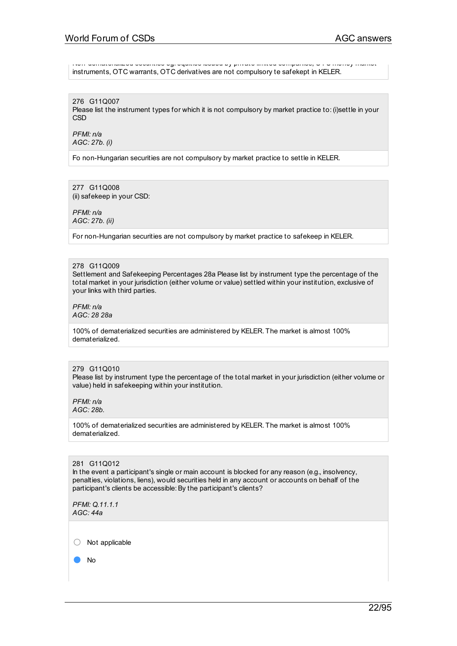Non-dematerialized securities eg. equities issued by private limited companies, OTC money market instruments, OTC warrants, OTC derivatives are not compulsory te safekept in KELER.

276 G11Q007 Please list the instrument types for which it is not compulsory by market practice to:(i)settle in your CSD

*PFMI: n/a AGC: 27b. (i)*

Fo non-Hungarian securities are not compulsory by market practice to settle in KELER.

277 G11Q008 (ii) safekeep in your CSD:

*PFMI: n/a AGC: 27b. (ii)*

For non-Hungarian securities are not compulsory by market practice to safekeep in KELER.

### 278 G11Q009

Settlement and Safekeeping Percentages 28a Please list by instrument type the percentage of the total market in your jurisdiction (either volume or value) settled within your institution, exclusive of your links with third parties.

*PFMI: n/a AGC: 28 28a*

100% of dematerialized securities are administered by KELER. The market is almost 100% dematerialized.

### 279 G11Q010

Please list by instrument type the percentage of the total market in your jurisdiction (either volume or value) held in safekeeping within your institution.

*PFMI: n/a AGC: 28b.*

100% of dematerialized securities are administered by KELER. The market is almost 100% dematerialized.

### 281 G11Q012

In the event a participant's single or main account is blocked for any reason (e.g., insolvency, penalties, violations, liens), would securities held in any account or accounts on behalf of the participant's clients be accessible: By the participant's clients?

*PFMI: Q.11.1.1 AGC: 44a*

○ Not applicable

● No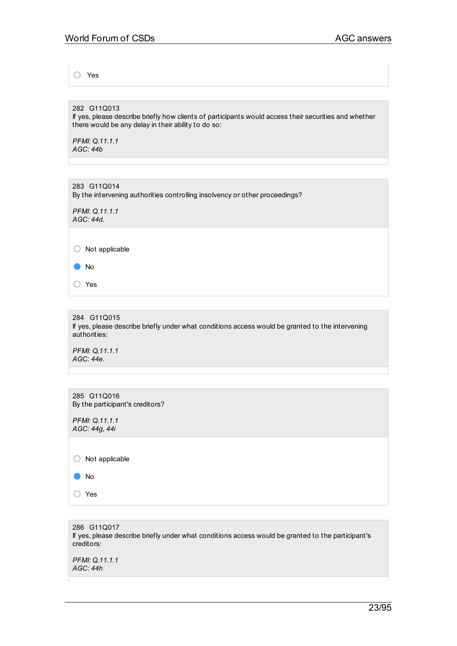○ Yes

282 G11Q013 If yes, please describe briefly how clients of participants would access their securities and whether there would be any delay in their ability to do so:

*PFMI: Q.11.1.1 AGC: 44b*

283 G11Q014 By the intervening authorities controlling insolvency or other proceedings?

*PFMI: Q.11.1.1 AGC: 44d.*

● No

○ Yes

284 G11Q015 If yes, please describe briefly under what conditions access would be granted to the intervening authorities:

*PFMI: Q.11.1.1 AGC: 44e.*

| 285 G11Q016<br>By the participant's creditors? |  |
|------------------------------------------------|--|
| PFMI: Q.11.1.1<br>AGC: 44g, 44i                |  |
| $\bigcirc$<br>Not applicable                   |  |
| No<br>$\blacksquare$                           |  |
| ∩<br>Yes                                       |  |
|                                                |  |

286 G11Q017 If yes, please describe briefly under what conditions access would be granted to the participant's creditors:

*PFMI: Q.11.1.1 AGC: 44h*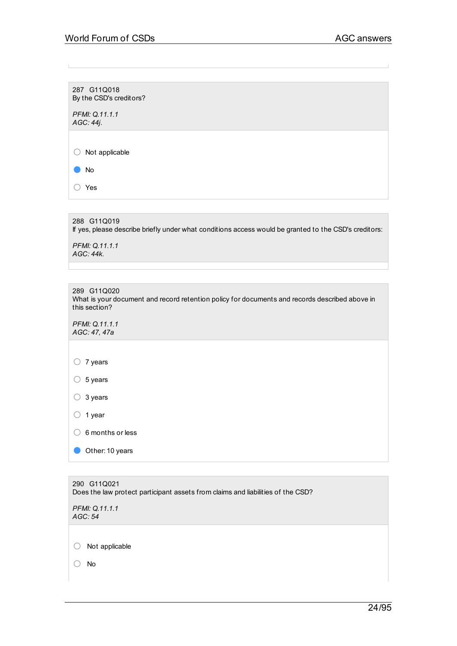287 G11Q018 By the CSD's creditors?

*PFMI: Q.11.1.1 AGC: 44j.*

○ Not applicable

● No ○ Yes

288 G11Q019 If yes, please describe briefly under what conditions access would be granted to the CSD's creditors: *PFMI: Q.11.1.1 AGC: 44k.*

| 289 G11Q020<br>What is your document and record retention policy for documents and records described above in<br>this section? |
|--------------------------------------------------------------------------------------------------------------------------------|
| PFMI: Q.11.1.1<br>AGC: 47, 47a                                                                                                 |
|                                                                                                                                |
| 7 years                                                                                                                        |
| 5 years                                                                                                                        |
| 3 years                                                                                                                        |
| 1 year                                                                                                                         |
| 6 months or less                                                                                                               |
| Other: 10 years                                                                                                                |
|                                                                                                                                |

| 290 G11Q021                                                                     |
|---------------------------------------------------------------------------------|
| Does the law protect participant assets from claims and liabilities of the CSD? |
|                                                                                 |
| <b>PFMI: Q.11.1.1</b>                                                           |

*AGC: 54*

○ Not applicable

○ No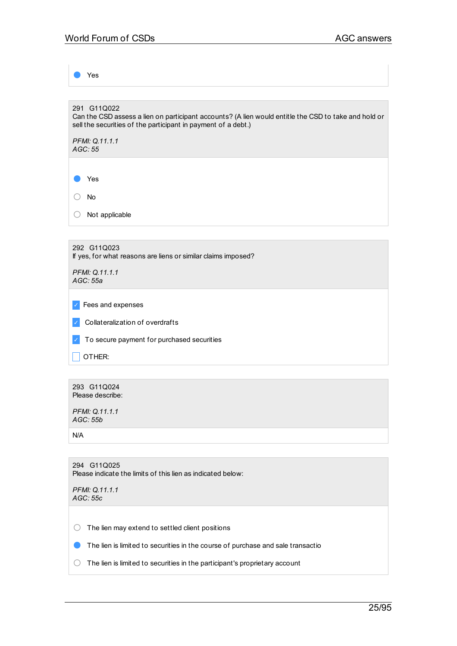Yes 291 G11Q022 Can the CSD assess a lien on participant accounts? (A lien would entitle the CSD to take and hold or sell the securities of the participant in payment of a debt.) *PFMI: Q.11.1.1 AGC: 55* ● Yes ○ No

292 G11Q023 If yes, for what reasons are liens or similar claims imposed?

*PFMI: Q.11.1.1 AGC: 55a*

○ Not applicable

✓ Fees and expenses

✓ Collateralization of overdrafts

✓ To secure payment for purchased securities

 $\Box$  OTHER:

293 G11Q024 Please describe:

*PFMI: Q.11.1.1 AGC: 55b*

N/A

| 294 G11Q025                                                 |  |  |
|-------------------------------------------------------------|--|--|
| Please indicate the limits of this lien as indicated below: |  |  |

*PFMI: Q.11.1.1 AGC: 55c*

 $\bigcirc$  The lien may extend to settled client positions

**O** The lien is limited to securities in the course of purchase and sale transactio

 $\bigcirc$  The lien is limited to securities in the participant's proprietary account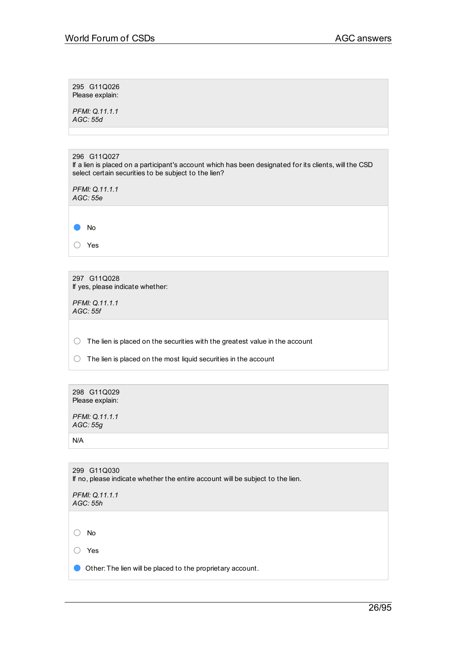| 295 G11Q026     |
|-----------------|
| Please explain: |

*PFMI: Q.11.1.1 AGC: 55d*

| 296 G11Q027<br>If a lien is placed on a participant's account which has been designated for its clients, will the CSD<br>select certain securities to be subject to the lien? |  |
|-------------------------------------------------------------------------------------------------------------------------------------------------------------------------------|--|
| PFMI: Q.11.1.1<br>AGC: 55e                                                                                                                                                    |  |
|                                                                                                                                                                               |  |
| No                                                                                                                                                                            |  |
| Yes                                                                                                                                                                           |  |
|                                                                                                                                                                               |  |

297 G11Q028 If yes, please indicate whether:

*PFMI: Q.11.1.1 AGC: 55f*

 $\bigcirc$  The lien is placed on the securities with the greatest value in the account

○ The lien is placed on the most liquid securities in the account

| 298 G11Q029<br>Please explain:                                                                |
|-----------------------------------------------------------------------------------------------|
| PFMI: Q.11.1.1<br>AGC: 55g                                                                    |
| N/A                                                                                           |
|                                                                                               |
| 299 G11Q030<br>If no, please indicate whether the entire account will be subject to the lien. |
| PFMI: Q.11.1.1<br>AGC: 55h                                                                    |
|                                                                                               |

○ No

○ Yes

● Other: The lien will be placed to the proprietary account.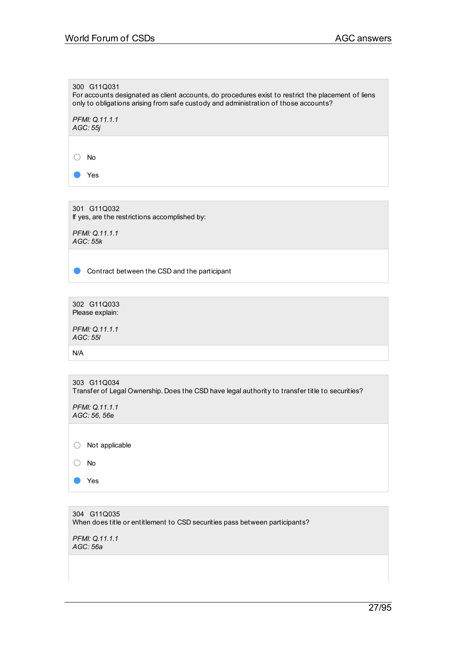300 G11Q031 For accounts designated as client accounts, do procedures exist to restrict the placement of liens only to obligations arising from safe custody and administration of those accounts?

*PFMI: Q.11.1.1 AGC: 55j*

○ No

● Yes

301 G11Q032 If yes, are the restrictions accomplished by:

*PFMI: Q.11.1.1 AGC: 55k*

**Contract between the CSD and the participant** 

302 G11Q033 Please explain:

*PFMI: Q.11.1.1 AGC: 55l*

N/A

|                                | 303 G11Q034<br>Transfer of Legal Ownership. Does the CSD have legal authority to transfer title to securities? |
|--------------------------------|----------------------------------------------------------------------------------------------------------------|
| PFMI: Q.11.1.1<br>AGC: 56, 56e |                                                                                                                |
|                                | Not applicable                                                                                                 |
|                                | No                                                                                                             |
|                                | Yes                                                                                                            |

304 G11Q035 When does title or entitlement to CSD securities pass between participants?

*PFMI: Q.11.1.1 AGC: 56a*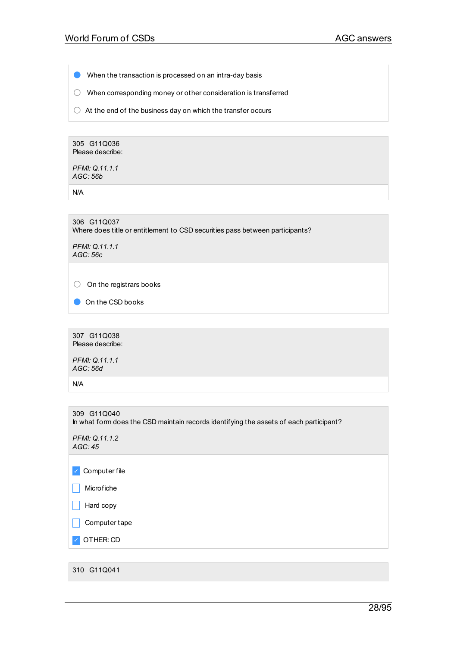**O** When the transaction is processed on an intra-day basis

○ When corresponding money or other consideration is transferred

 $\bigcirc$  At the end of the business day on which the transfer occurs

305 G11Q036 Please describe:

*PFMI: Q.11.1.1 AGC: 56b*

N/A

306 G11Q037 Where does title or entitlement to CSD securities pass between participants?

*PFMI: Q.11.1.1 AGC: 56c*

○ On the registrars books

On the CSD books

307 G11Q038 Please describe:

*PFMI: Q.11.1.1 AGC: 56d*

N/A

309 G11Q040 In what form does the CSD maintain records identifying the assets of each participant?

*PFMI: Q.11.1.2 AGC: 45*

✓ Computer file

 $\Box$  Microfiche

 $\vert \vert$  Hard copy

 $\Box$  Computer tape

✓ OTHER: CD

310 G11Q041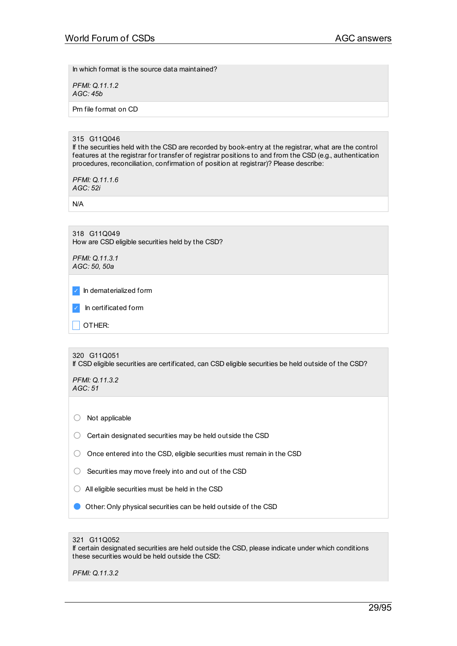In which format is the source data maintained?

*PFMI: Q.11.1.2 AGC: 45b*

Prn file format on CD

### 315 G11Q046

If the securities held with the CSD are recorded by book-entry at the registrar, what are the control features at the registrar for transfer of registrar positions to and from the CSD (e.g., authentication procedures, reconciliation, confirmation of position at registrar)? Please describe:

*PFMI: Q.11.1.6 AGC: 52i*

N/A

318 G11Q049 How are CSD eligible securities held by the CSD?

*PFMI: Q.11.3.1 AGC: 50, 50a*

✓ In dematerialized form

In certificated form

 $\overline{\phantom{a}}$  OTHER:

320 G11Q051 If CSD eligible securities are certificated, can CSD eligible securities be held outside of the CSD?

*PFMI: Q.11.3.2 AGC: 51*

○ Not applicable

 $\bigcirc$  Certain designated securities may be held outside the CSD

○ Once entered into the CSD, eligible securities must remain in the CSD

- $\bigcirc$  Securities may move freely into and out of the CSD
- $\bigcirc$  All eligible securities must be held in the CSD
- **O** Other: Only physical securities can be held outside of the CSD

### 321 G11Q052

If certain designated securities are held outside the CSD, please indicate under which conditions these securities would be held outside the CSD:

*PFMI: Q.11.3.2*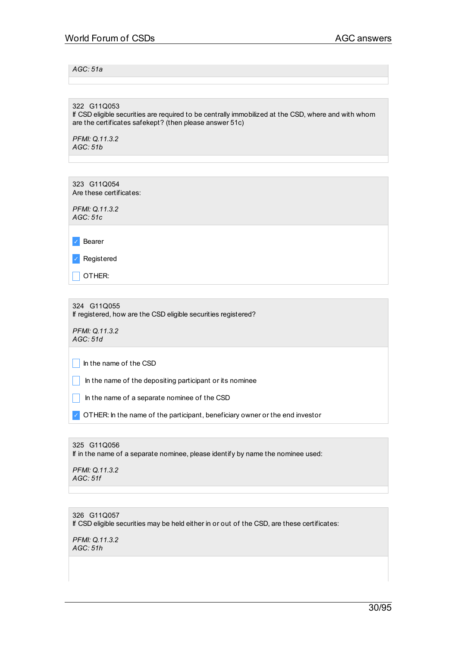## *AGC: 51a*

322 G11Q053

If CSD eligible securities are required to be centrally immobilized at the CSD, where and with whom are the certificates safekept? (then please answer 51c)

*PFMI: Q.11.3.2 AGC: 51b*

323 G11Q054 Are these certificates:

*PFMI: Q.11.3.2 AGC: 51c*

✓ Bearer

✓ Registered

\_ OTHER:

324 G11Q055 If registered, how are the CSD eligible securities registered?

*PFMI: Q.11.3.2 AGC: 51d*

 $\vert \vert$  in the name of the CSD

 $\Box$  In the name of the depositing participant or its nominee

 $\Box$  In the name of a separate nominee of the CSD

OTHER: In the name of the participant, beneficiary owner or the end investor

325 G11Q056 If in the name of a separate nominee, please identify by name the nominee used:

*PFMI: Q.11.3.2 AGC: 51f*

326 G11Q057 If CSD eligible securities may be held either in or out of the CSD, are these certificates:

*PFMI: Q.11.3.2 AGC: 51h*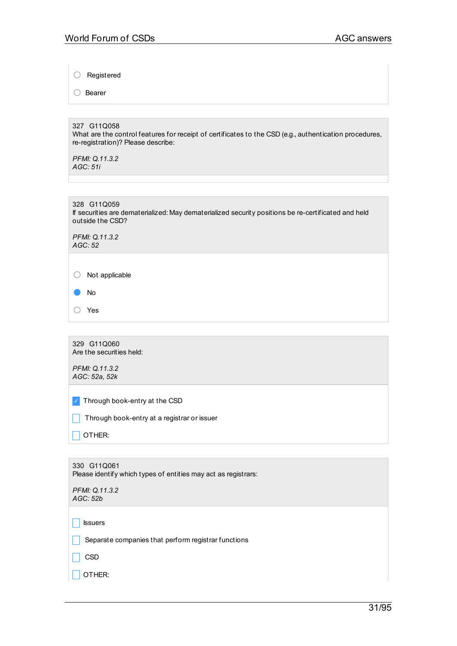○ Registered

○ Bearer

327 G11Q058 What are the control features for receipt of certificates to the CSD (e.g., authentication procedures, re-registration)? Please describe:

*PFMI: Q.11.3.2 AGC: 51i*

| 328 G11Q059                                                                                         |  |
|-----------------------------------------------------------------------------------------------------|--|
| If securities are dematerialized: May dematerialized security positions be re-certificated and held |  |
| outside the CSD?                                                                                    |  |

*PFMI: Q.11.3.2 AGC: 52*

○ Not applicable

○ Yes

329 G11Q060 Are the securities held:

*PFMI: Q.11.3.2 AGC: 52a, 52k*

✓ Through book-entry at the CSD

 $\Box$  Through book-entry at a registrar or issuer

 $\Box$  OTHER:

| 330 G11Q061<br>Please identify which types of entities may act as registrars: |
|-------------------------------------------------------------------------------|
| PFMI: Q.11.3.2<br>AGC: 52b                                                    |
| <b>S</b> suers                                                                |
| Separate companies that perform registrar functions                           |

 $\Box$  CSD

 $\Box$  OTHER: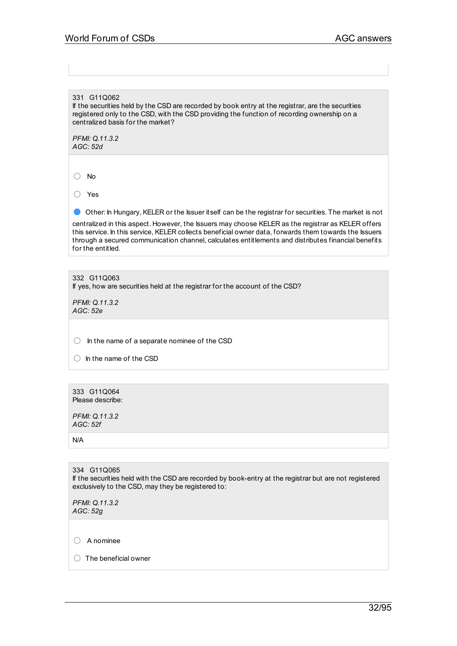## 331 G11Q062

If the securities held by the CSD are recorded by book entry at the registrar, are the securities registered only to the CSD, with the CSD providing the function of recording ownership on a centralized basis for the market?

*PFMI: Q.11.3.2 AGC: 52d*

○ No

○ Yes

● Other: In Hungary, KELER or the Issuer itself can be the registrar for securities. The market is not

centralized in this aspect. However, the Issuers may choose KELER as the registrar as KELER offers this service. In this service, KELER collects beneficial owner data, forwards them towards the Issuers through a secured communication channel, calculates entitlements and distributes financial benefits for the entitled.

332 G11Q063 If yes, how are securities held at the registrar for the account of the CSD?

*PFMI: Q.11.3.2 AGC: 52e*

 $\bigcirc$  In the name of a separate nominee of the CSD

○ In the name of the CSD

333 G11Q064 Please describe:

*PFMI: Q.11.3.2 AGC: 52f*

N/A

334 G11Q065 If the securities held with the CSD are recorded by book-entry at the registrar but are not registered exclusively to the CSD, may they be registered to: *PFMI: Q.11.3.2*

*AGC: 52g*

○ <sup>A</sup> nominee

 $\bigcap$  The beneficial owner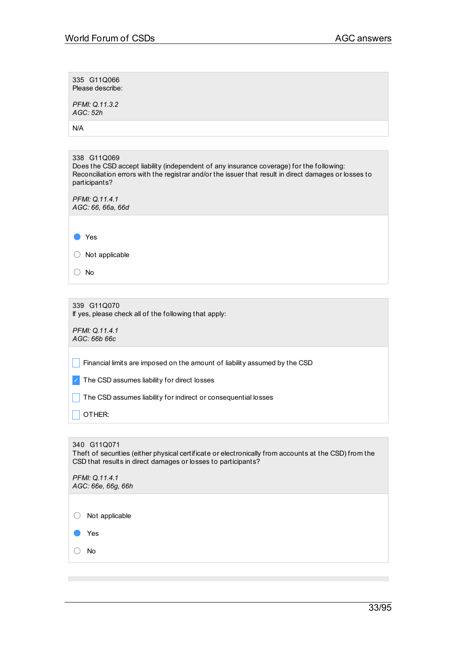| 335 G11Q066<br>Please describe:                                                                                                                                                                                                   |
|-----------------------------------------------------------------------------------------------------------------------------------------------------------------------------------------------------------------------------------|
| PFMI: Q.11.3.2<br>AGC: 52h                                                                                                                                                                                                        |
| N/A                                                                                                                                                                                                                               |
|                                                                                                                                                                                                                                   |
| 338 G11Q069<br>Does the CSD accept liability (independent of any insurance coverage) for the following:<br>Reconciliation errors with the registrar and/or the issuer that result in direct damages or losses to<br>participants? |
| PFMI: Q.11.4.1<br>AGC: 66, 66a, 66d                                                                                                                                                                                               |
|                                                                                                                                                                                                                                   |
| Yes                                                                                                                                                                                                                               |
| Not applicable                                                                                                                                                                                                                    |
| No                                                                                                                                                                                                                                |
|                                                                                                                                                                                                                                   |
| 339 G11Q070<br>If yes, please check all of the following that apply:                                                                                                                                                              |
| PFMI: Q.11.4.1<br>AGC: 66b 66c                                                                                                                                                                                                    |
| Financial limits are imposed on the amount of liability assumed by the CSD                                                                                                                                                        |
| The CSD assumes liability for direct losses                                                                                                                                                                                       |
| The CSD assumes liability for indirect or consequential losses                                                                                                                                                                    |
| OTHER:                                                                                                                                                                                                                            |
|                                                                                                                                                                                                                                   |
| 340 G11Q071<br>Theft of securities (either physical certificate or electronically from accounts at the CSD) from the<br>CSD that results in direct damages or losses to participants?                                             |
| PFMI: Q.11.4.1<br>AGC: 66e, 66g, 66h                                                                                                                                                                                              |
|                                                                                                                                                                                                                                   |
| Not applicable                                                                                                                                                                                                                    |
| Yes                                                                                                                                                                                                                               |
| No                                                                                                                                                                                                                                |

 $\mathcal{L}_{\mathcal{A}}$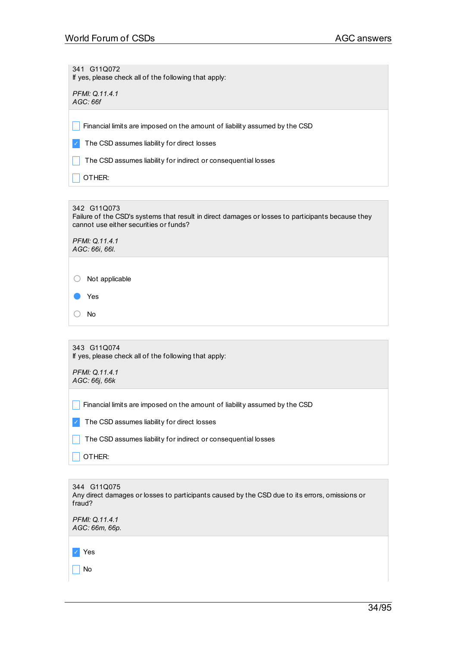341 G11Q072 If yes, please check all of the following that apply:

*PFMI: Q.11.4.1 AGC: 66f*

 $\Box$  Financial limits are imposed on the amount of liability assumed by the CSD

✓ The CSD assumes liability for direct losses

The CSD assumes liability for indirect or consequential losses

 $| \overline{\phantom{a}} |$  OTHER:

342 G11Q073

Failure of the CSD's systems that result in direct damages or losses to participants because they cannot use either securities or funds?

*PFMI: Q.11.4.1 AGC: 66i, 66l.*

○ Not applicable

Yes

○ No

343 G11Q074 If yes, please check all of the following that apply:

*PFMI: Q.11.4.1 AGC: 66j, 66k*

 $\Box$  Financial limits are imposed on the amount of liability assumed by the CSD

✓ The CSD assumes liability for direct losses

 $\Box$  The CSD assumes liability for indirect or consequential losses

 $\Box$  OTHER:

344 G11Q075 Any direct damages or losses to participants caused by the CSD due to its errors, omissions or fraud? *PFMI: Q.11.4.1 AGC: 66m, 66p.*

✓ Yes  $\overline{\phantom{a}}$  No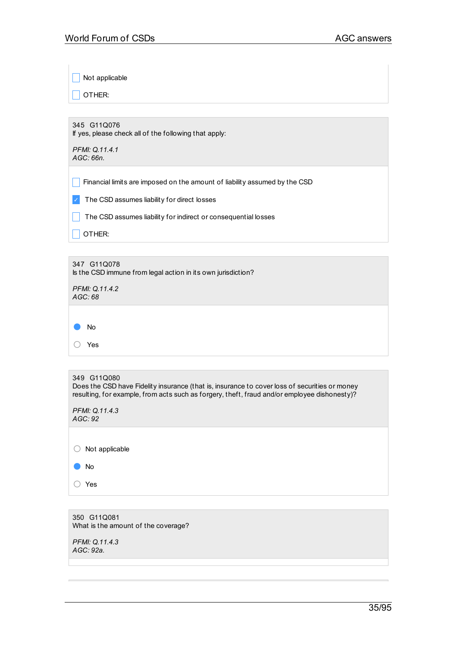$\Box$  Not applicable

 $\Box$  OTHER:

345 G11Q076 If yes, please check all of the following that apply:

*PFMI: Q.11.4.1 AGC: 66n.*

Financial limits are imposed on the amount of liability assumed by the CSD

✓ The CSD assumes liability for direct losses

 $\Box$  The CSD assumes liability for indirect or consequential losses

 $\Box$  OTHER:

| 347 G11Q078<br>Is the CSD immune from legal action in its own jurisdiction? |
|-----------------------------------------------------------------------------|
| PFMI: Q.11.4.2<br>AGC:68                                                    |
|                                                                             |
| No                                                                          |
| Yes                                                                         |

| 349 G11Q080<br>Does the CSD have Fidelity insurance (that is, insurance to cover loss of securities or money<br>resulting, for example, from acts such as forgery, theft, fraud and/or employee dishonesty)? |
|--------------------------------------------------------------------------------------------------------------------------------------------------------------------------------------------------------------|
| PFMI: Q.11.4.3<br>AGC: 92                                                                                                                                                                                    |
| Not applicable                                                                                                                                                                                               |

● No ○ Yes

350 G11Q081 What is the amount of the coverage?

*PFMI: Q.11.4.3 AGC: 92a.*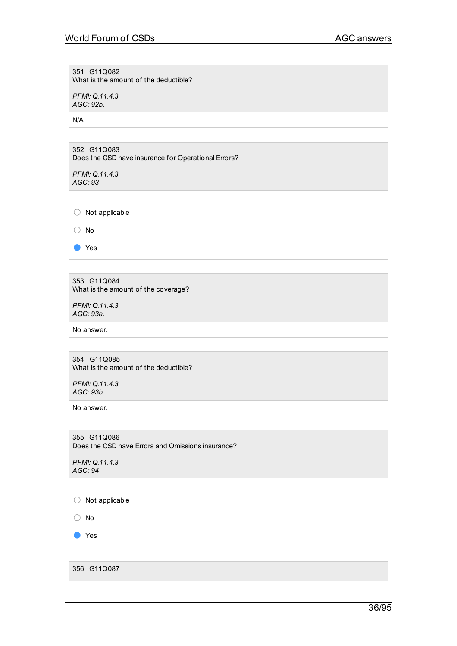351 G11Q082 What is the amount of the deductible?

*PFMI: Q.11.4.3 AGC: 92b.*

N/A

352 G11Q083 Does the CSD have insurance for Operational Errors?

*PFMI: Q.11.4.3 AGC: 93*

○ Not applicable

○ No

● Yes

353 G11Q084 What is the amount of the coverage?

*PFMI: Q.11.4.3 AGC: 93a.*

No answer.

354 G11Q085 What is the amount of the deductible?

*PFMI: Q.11.4.3 AGC: 93b.*

No answer.

355 G11Q086 Does the CSD have Errors and Omissions insurance?

*PFMI: Q.11.4.3 AGC: 94*

○ Not applicable

○ No

● Yes

356 G11Q087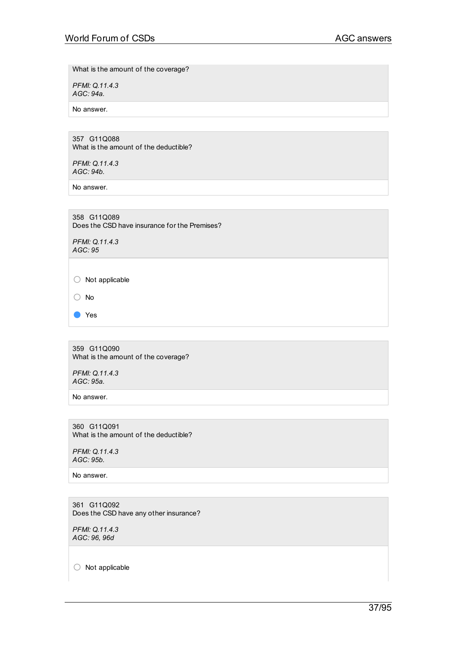What is the amount of the coverage?

*PFMI: Q.11.4.3 AGC: 94a.*

No answer.

357 G11Q088 What is the amount of the deductible?

*PFMI: Q.11.4.3 AGC: 94b.*

No answer.

358 G11Q089 Does the CSD have insurance for the Premises?

*PFMI: Q.11.4.3 AGC: 95*

 $\bigcirc$  Not applicable

○ No

● Yes

359 G11Q090 What is the amount of the coverage?

*PFMI: Q.11.4.3 AGC: 95a.*

No answer.

360 G11Q091 What is the amount of the deductible?

*PFMI: Q.11.4.3 AGC: 95b.*

No answer.

361 G11Q092 Does the CSD have any other insurance?

*PFMI: Q.11.4.3 AGC: 96, 96d*

○ Not applicable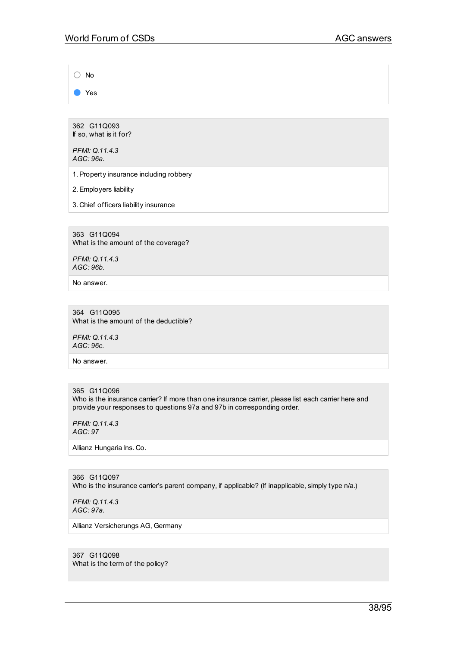○ No

● Yes

362 G11Q093 If so, what is it for?

*PFMI: Q.11.4.3 AGC: 96a.*

1.Property insurance including robbery

2.Employers liability

3. Chief officers liability insurance

363 G11Q094 What is the amount of the coverage?

*PFMI: Q.11.4.3 AGC: 96b.*

No answer.

364 G11Q095 What is the amount of the deductible?

*PFMI: Q.11.4.3 AGC: 96c.*

No answer.

365 G11Q096

Who is the insurance carrier? If more than one insurance carrier, please list each carrier here and provide your responses to questions 97a and 97b in corresponding order.

*PFMI: Q.11.4.3 AGC: 97*

Allianz Hungaria Ins. Co.

366 G11Q097 Who is the insurance carrier's parent company, if applicable? (If inapplicable, simply type n/a.)

*PFMI: Q.11.4.3 AGC: 97a.*

Allianz Versicherungs AG, Germany

367 G11Q098 What is the term of the policy?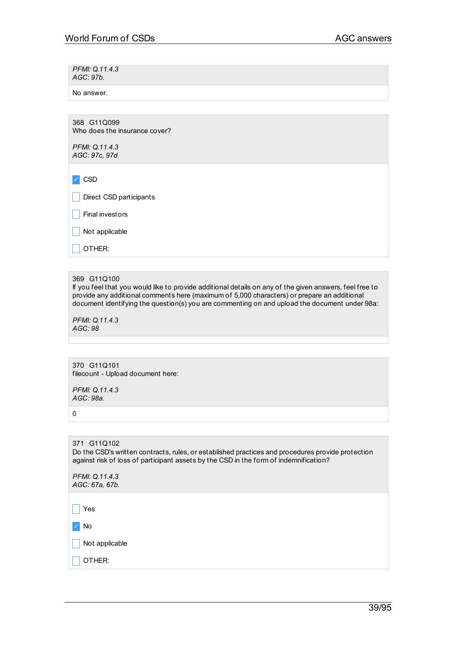*PFMI: Q.11.4.3 AGC: 97b.*

No answer.

368 G11Q099 Who does the insurance cover?

*PFMI: Q.11.4.3 AGC: 97c, 97d*

✓ CSD

Direct CSD participants

 $\Box$  Final investors

 $\Box$  Not applicable

 $\Box$  OTHER:

## 369 G11Q100

If you feel that you would like to provide additional details on any of the given answers, feel free to provide any additional comments here (maximum of 5,000 characters) or prepare an additional document identifying the question(s) you are commenting on and upload the document under 98a:

*PFMI: Q.11.4.3 AGC: 98*

370 G11Q101 filecount - Upload document here:

*PFMI: Q.11.4.3 AGC: 98a.*

0

#### 371 G11Q102 Do the CSD's written contracts, rules, or established practices and procedures provide protection against risk of loss of participant assets by the CSD in the form of indemnification?

| PFMI: Q.11.4.3 |
|----------------|
| AGC: 67a, 67b. |

 $\Box$  Yes

✓ No

 $\overline{\phantom{a}}$  Not applicable

 $\overline{\phantom{a}}$  OTHER: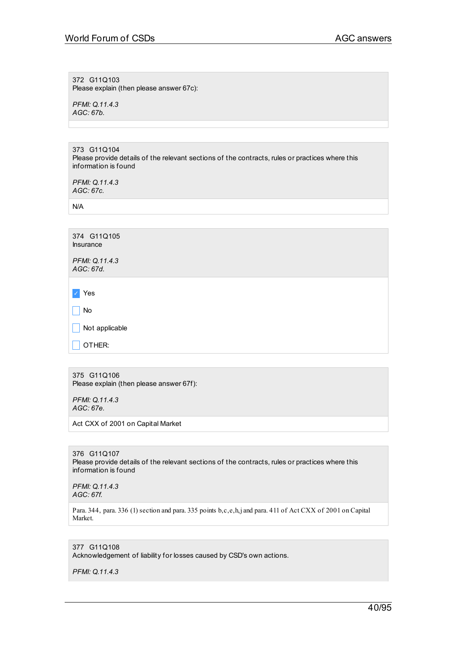372 G11Q103 Please explain (then please answer 67c):

*PFMI: Q.11.4.3 AGC: 67b.*

373 G11Q104 Please provide details of the relevant sections of the contracts, rules or practices where this information is found

*PFMI: Q.11.4.3 AGC: 67c.*

N/A

| 374 G11Q105<br><b>Insurance</b>   |  |
|-----------------------------------|--|
| PFMI: Q.11.4.3<br>AGC: 67d.       |  |
|                                   |  |
| Yes<br>$\mathcal{L}_{\mathbb{C}}$ |  |
| No                                |  |
| Not applicable                    |  |
| OTHER:                            |  |

375 G11Q106 Please explain (then please answer 67f):

*PFMI: Q.11.4.3 AGC: 67e.*

Act CXX of 2001 on Capital Market

376 G11Q107 Please provide details of the relevant sections of the contracts, rules or practices where this information is found

*PFMI: Q.11.4.3 AGC: 67f.*

Para. 344, para. 336 (1) section and para. 335 points b,c,e,h,j and para. 411 of Act CXX of 2001 on Capital Market.

# 377 G11Q108

Acknowledgement of liability for losses caused by CSD's own actions.

*PFMI: Q.11.4.3*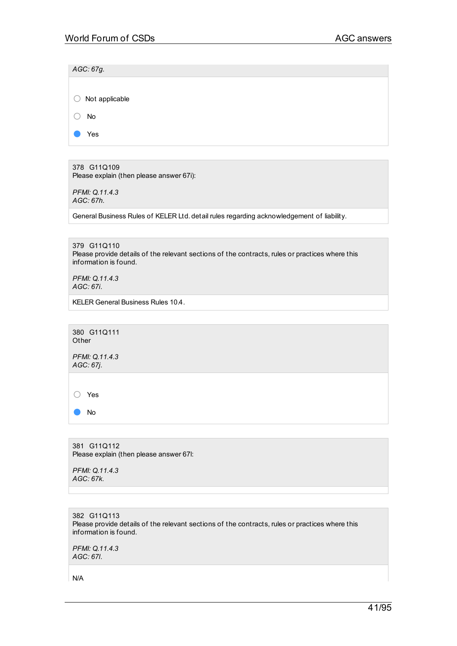| AGC: 67g.                 |
|---------------------------|
|                           |
| $\bigcirc$ Not applicable |
| No                        |
| Yes                       |
|                           |

378 G11Q109 Please explain (then please answer 67i):

*PFMI: Q.11.4.3 AGC: 67h.*

General Business Rules of KELER Ltd. detail rules regarding acknowledgement of liability.

379 G11Q110 Please provide details of the relevant sections of the contracts, rules or practices where this information is found.

*PFMI: Q.11.4.3 AGC: 67i.*

KELER General Business Rules 10.4.

380 G11Q111 **Other** 

*PFMI: Q.11.4.3 AGC: 67j.*

○ Yes

● No

381 G11Q112 Please explain (then please answer 67l:

*PFMI: Q.11.4.3 AGC: 67k.*

382 G11Q113 Please provide details of the relevant sections of the contracts, rules or practices where this information is found.

*PFMI: Q.11.4.3 AGC: 67l.*

N/A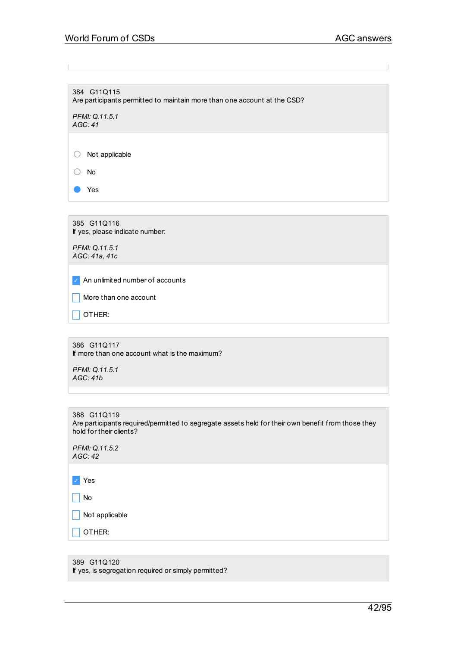384 G11Q115 Are participants permitted to maintain more than one account at the CSD?

*PFMI: Q.11.5.1 AGC: 41*

○ Not applicable

○ No

● Yes

385 G11Q116 If yes, please indicate number:

*PFMI: Q.11.5.1 AGC: 41a, 41c*

✓ An unlimited number of accounts

 $\Box$  More than one account

 $\Box$  OTHER:

386 G11Q117 If more than one account what is the maximum?

*PFMI: Q.11.5.1 AGC: 41b*

| 388 G11Q119                                                                                        |
|----------------------------------------------------------------------------------------------------|
| Are participants required/permitted to segregate assets held for their own benefit from those they |
| hold for their clients?                                                                            |

| PFMI: Q.11.5.2 |  |
|----------------|--|
| AGC: 42        |  |

✓ Yes

 $\Box$  No

 $\boxed{\phantom{1}}$  Not applicable

 $\Box$  OTHER:

389 G11Q120 If yes, is segregation required or simply permitted?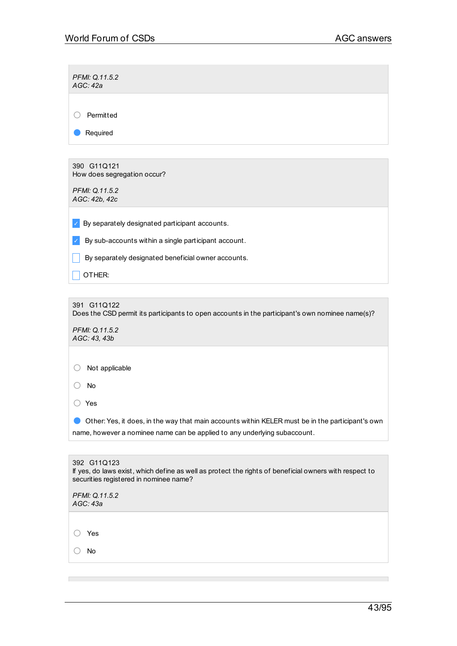*PFMI: Q.11.5.2 AGC: 42a*

○ Permitted

● Required

390 G11Q121 How does segregation occur?

*PFMI: Q.11.5.2 AGC: 42b, 42c*

 $\triangleright$  By separately designated participant accounts.

 $\triangleright$  By sub-accounts within a single participant account.

 $\Box$  By separately designated beneficial owner accounts.

 $\Box$  Other:

391 G11Q122

Does the CSD permit its participants to open accounts in the participant's own nominee name(s)?

*PFMI: Q.11.5.2 AGC: 43, 43b*

○ Not applicable

○ No

○ Yes

● Other: Yes, it does, in the way that main accounts within KELER must be in the participant's own name, however a nominee name can be applied to any underlying subaccount.

| 392 G11Q123<br>If yes, do laws exist, which define as well as protect the rights of beneficial owners with respect to<br>securities registered in nominee name? |
|-----------------------------------------------------------------------------------------------------------------------------------------------------------------|
| PFMI: Q.11.5.2<br>AGC: 43a                                                                                                                                      |
|                                                                                                                                                                 |
| Yes                                                                                                                                                             |
| No                                                                                                                                                              |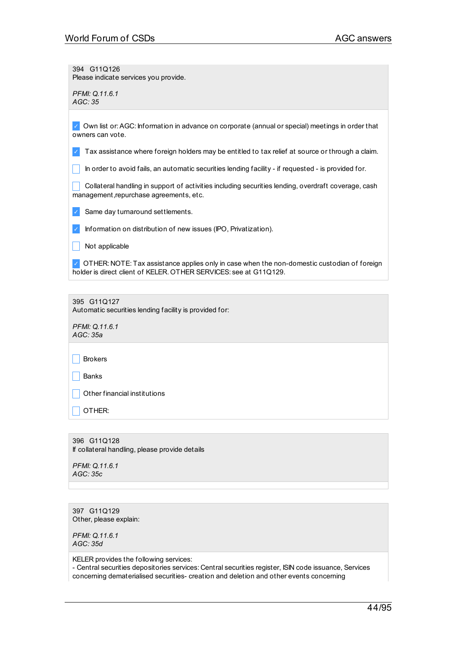394 G11Q126 Please indicate services you provide.

*PFMI: Q.11.6.1 AGC: 35*

✓ Own list or:AGC: Information in advance on corporate (annual or special) meetings in order that owners can vote.

 $\vee$  Tax assistance where foreign holders may be entitled to tax relief at source or through a claim.

In order to avoid fails, an automatic securities lending facility - if requested - is provided for.

collateral handling in support of activities including securities lending, overdraft coverage, cash management,repurchase agreements, etc.

✓ Same day turnaround settlements.

✓ Information on distribution of new issues (IPO, Privatization).

 $\Box$  Not applicable

✓ OTHER: NOTE: Tax assistance applies only in case when the non-domestic custodian of foreign holder is direct client of KELER. OTHER SERVICES: see at G11Q129.

395 G11Q127

Automatic securities lending facility is provided for:

*PFMI: Q.11.6.1 AGC: 35a*

 $\Box$  Brokers

 $\Box$  Banks

 $\Box$  Other financial institutions

| OTHER:

396 G11Q128 If collateral handling, please provide details

*PFMI: Q.11.6.1 AGC: 35c*

397 G11Q129 Other, please explain:

*PFMI: Q.11.6.1 AGC: 35d*

KELER provides the following services:

- Central securities depositories services: Central securities register, ISIN code issuance, Services concerning dematerialised securities- creation and deletion and other events concerning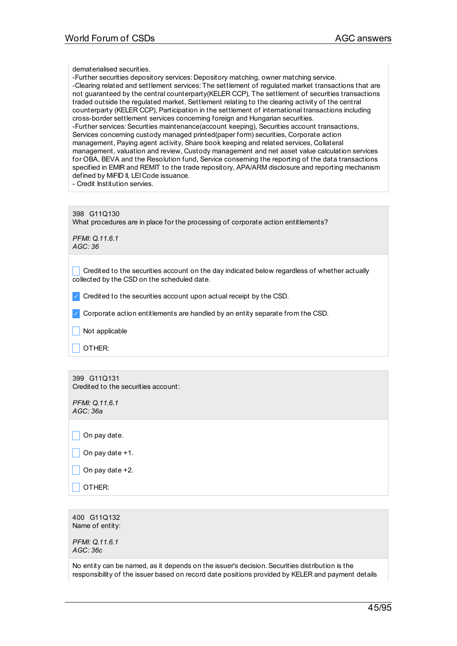dematerialised securities.

-Further securities depository services: Depository matching, owner matching service. -Clearing related and settlement services: The settlement of regulated market transactions that are not guaranteed by the central counterparty(KELER CCP), The settlement of securities transactions traded outside the regulated market, Settlement relating to the clearing activity of the central counterparty (KELER CCP), Participation in the settlement of international transactions including cross-border settlement services concerning foreign and Hungarian securities. -Further services: Securities maintenance(account keeping), Securities account transactions, Services concerning custody managed printed(paper form) securities, Corporate action management, Paying agent activity, Share book keeping and related services, Collateral management, valuation and review, Custody management and net asset value calculation services for OBA, BEVA and the Resolution fund, Service conserning the reporting of the data transactions specified in EMIR and REMIT to the trade repository, APA/ARM disclosure and reporting mechanism defined by MiFID II, LEI Code issuance.

- Credit Institution servies.

398 G11Q130 What procedures are in place for the processing of corporate action entitlements?

*PFMI: Q.11.6.1 AGC: 36*

 $\Box$  Credited to the securities account on the day indicated below regardless of whether actually collected by the CSD on the scheduled date.

 $\vee$  Credited to the securities account upon actual receipt by the CSD.

 $\vee$  Corporate action entitlements are handled by an entity separate from the CSD.

 $\Box$  Not applicable

 $\Box$  OTHER:

399 G11Q131 Credited to the securities account:

*PFMI: Q.11.6.1 AGC: 36a*

 $\Box$  On pay date.

\_ On pay date +1.

\_ On pay date +2.

\_ OTHER:

400 G11Q132 Name of entity:

*PFMI: Q.11.6.1 AGC: 36c*

No entity can be named, as it depends on the issuer's decision.Securities distribution is the responsibility of the issuer based on record date positions provided by KELER and payment details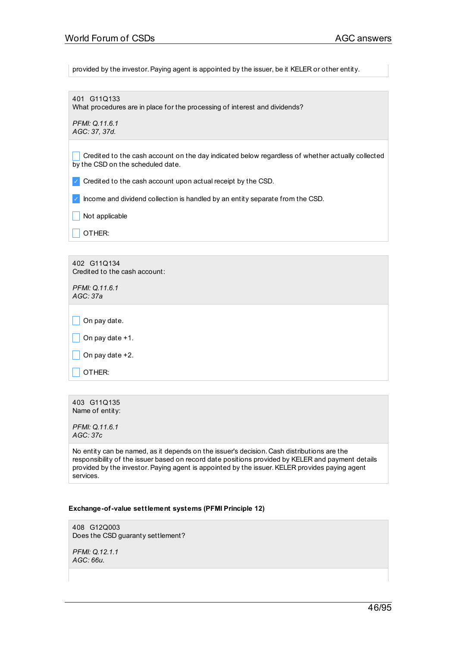provided by the investor. Paying agent is appointed by the issuer, be it KELER or other entity.

401 G11Q133 What procedures are in place for the processing of interest and dividends?

*PFMI: Q.11.6.1 AGC: 37, 37d.*

Credited to the cash account on the day indicated below regardless of whether actually collected by the CSD on the scheduled date.

✓ Credited to the cash account upon actual receipt by the CSD.

✓ Income and dividend collection is handled by an entity separate from the CSD.

 $\blacksquare$  Not applicable

 $\overline{\phantom{a}}$  OTHER:

402 G11Q134 Credited to the cash account:

*PFMI: Q.11.6.1 AGC: 37a*

 $\Box$  On pay date.

 $\vert$  On pay date +1.

 $\vert$  On pay date +2.

OTHER:

403 G11Q135 Name of entity:

*PFMI: Q.11.6.1 AGC: 37c*

No entity can be named, as it depends on the issuer's decision. Cash distributions are the responsibility of the issuer based on record date positions provided by KELER and payment details provided by the investor.Paying agent is appointed by the issuer.KELER provides paying agent services.

#### **Exchange-of-value settlement systems (PFMI Principle 12)**

408 G12Q003 Does the CSD guaranty settlement?

*PFMI: Q.12.1.1 AGC: 66u.*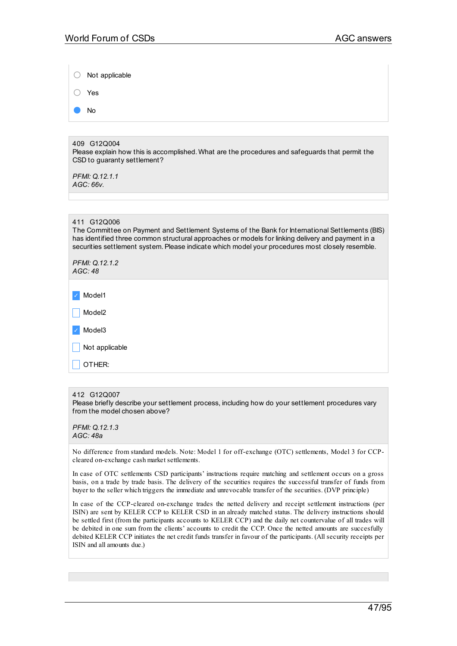| Not applicable                                                                                                                                                                                                                                                                                                          |
|-------------------------------------------------------------------------------------------------------------------------------------------------------------------------------------------------------------------------------------------------------------------------------------------------------------------------|
| Yes                                                                                                                                                                                                                                                                                                                     |
| <b>No</b>                                                                                                                                                                                                                                                                                                               |
|                                                                                                                                                                                                                                                                                                                         |
| 409 G12Q004<br>Please explain how this is accomplished. What are the procedures and safeguards that permit the<br>CSD to guaranty settlement?<br>PFMI: Q.12.1.1                                                                                                                                                         |
| AGC:66v.                                                                                                                                                                                                                                                                                                                |
|                                                                                                                                                                                                                                                                                                                         |
|                                                                                                                                                                                                                                                                                                                         |
| 411 G12Q006<br>The Committee on Payment and Settlement Systems of the Bank for International Settlements (BIS)<br>has identified three common structural approaches or models for linking delivery and payment in a<br>securities settlement system. Please indicate which model your procedures most closely resemble. |
| PFMI: 0.12.1.2<br>AGC:48                                                                                                                                                                                                                                                                                                |
| Model1                                                                                                                                                                                                                                                                                                                  |
| Model <sub>2</sub>                                                                                                                                                                                                                                                                                                      |
| Model <sub>3</sub>                                                                                                                                                                                                                                                                                                      |
| Not applicable                                                                                                                                                                                                                                                                                                          |
| OTHER:                                                                                                                                                                                                                                                                                                                  |

#### 412 G12Q007

Please briefly describe your settlement process, including how do your settlement procedures vary from the model chosen above?

No difference from standard models. Note: Model 1 for off-exchange (OTC) settlements, Model 3 for CCPcleared on-exchange cash market settlements.

In case of OTC settlements CSD participants' instructions require matching and settlement occurs on a gross basis, on a trade by trade basis. The delivery of the securities requires the successful transfer of funds from buyer to the seller which triggers the immediate and unrevocable transfer of the securities. (DVP principle)

In case of the CCP-cleared on-exchange trades the netted delivery and receipt settlement instructions (per ISIN) are sent by KELER CCP to KELER CSD in an already matched status. The delivery instructions should be settled first (from the participants accounts to KELER CCP) and the daily net countervalue of all trades will be debited in one sum from the clients' accounts to credit the CCP. Once the netted amounts are succesfully debited KELER CCP initiates the net credit funds transfer in favour of the participants. (All security receipts per ISIN and all amounts due.)

*PFMI: Q.12.1.3 AGC: 48a*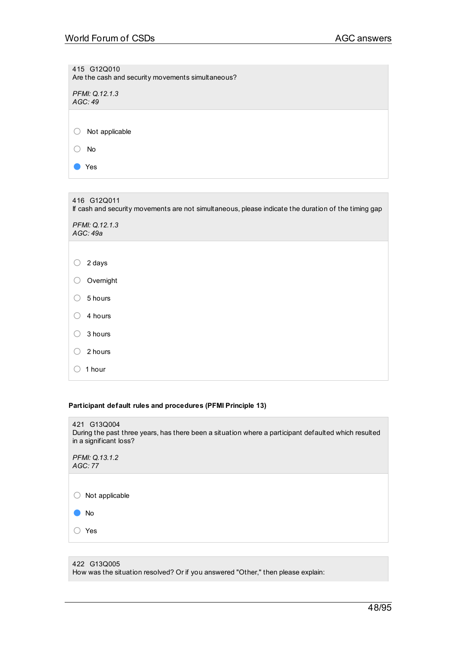415 G12Q010 Are the cash and security movements simultaneous? *PFMI: Q.12.1.3 AGC: 49* ○ Not applicable ○ No ● Yes

| 416 G12Q011<br>If cash and security movements are not simultaneous, please indicate the duration of the timing gap |  |  |
|--------------------------------------------------------------------------------------------------------------------|--|--|
| PFMI: Q.12.1.3<br>AGC: 49a                                                                                         |  |  |
|                                                                                                                    |  |  |
| 2 days                                                                                                             |  |  |
| Overnight                                                                                                          |  |  |
| 5 hours                                                                                                            |  |  |
| 4 hours                                                                                                            |  |  |
| 3 hours                                                                                                            |  |  |
| 2 hours                                                                                                            |  |  |
| 1 hour                                                                                                             |  |  |

## **Participant default rules and procedures (PFMI Principle 13)**

| 421 G13Q004<br>During the past three years, has there been a situation where a participant defaulted which resulted<br>in a significant loss? |
|-----------------------------------------------------------------------------------------------------------------------------------------------|
| PFMI: Q.13.1.2<br>AGC:77                                                                                                                      |
|                                                                                                                                               |
| Not applicable                                                                                                                                |
| No                                                                                                                                            |
| Yes                                                                                                                                           |
|                                                                                                                                               |

422 G13Q005 How was the situation resolved? Or if you answered "Other," then please explain: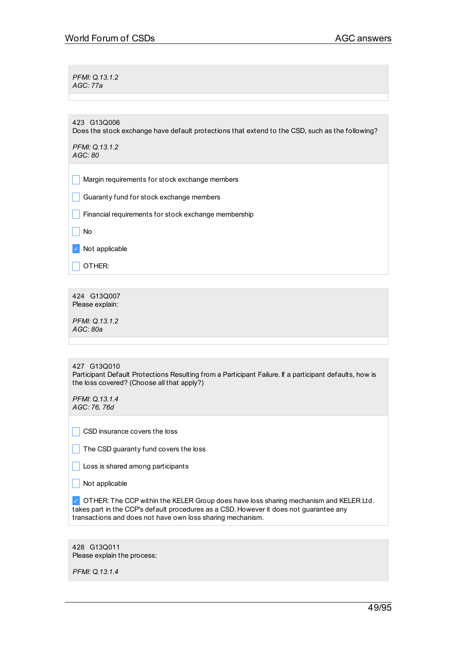*PFMI: Q.13.1.2 AGC: 77a*

423 G13Q006

Does the stock exchange have default protections that extend to the CSD, such as the following?

*PFMI: Q.13.1.2 AGC: 80*

 $\Box$  Margin requirements for stock exchange members

**Guaranty fund for stock exchange members** 

 $\Box$  Financial requirements for stock exchange membership

 $\Box$  No

✓ Not applicable

 $\Box$  OTHER:

424 G13Q007 Please explain:

*PFMI: Q.13.1.2 AGC: 80a*

427 G13Q010

Participant Default Protections Resulting from a Participant Failure. If a participant defaults, how is the loss covered? (Choose all that apply?)

*PFMI: Q.13.1.4 AGC: 76, 76d*

 $\Box$  CSD insurance covers the loss

|  | The CSD guaranty fund covers the loss |
|--|---------------------------------------|
|--|---------------------------------------|

 $\Box$  Loss is shared among participants

 $\Box$  Not applicable

✓ OTHER: The CCP within the KELER Group does have loss sharing mechanism and KELER Ltd. takes part in the CCP's default procedures as a CSD. However it does not guarantee any transactions and does not have own loss sharing mechanism.

| 428 G13Q011                 |
|-----------------------------|
| Please explain the process: |

*PFMI: Q.13.1.4*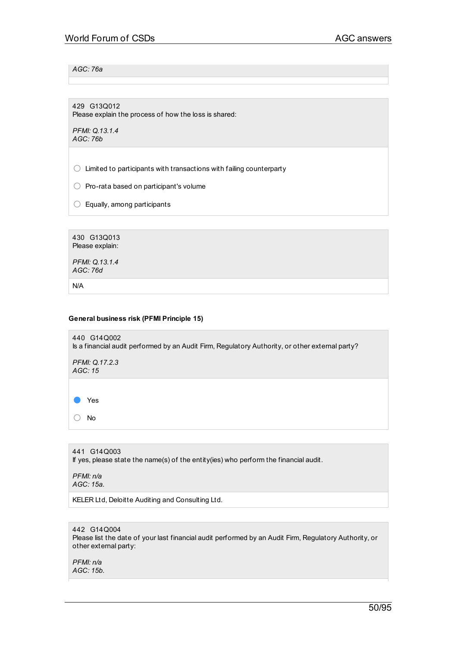## *AGC: 76a*

429 G13Q012 Please explain the process of how the loss is shared:

*PFMI: Q.13.1.4 AGC: 76b*

 $\bigcirc$  Limited to participants with transactions with failing counterparty

○ Pro-rata based on participant's volume

 $\bigcirc$  Equally, among participants

430 G13Q013 Please explain:

*PFMI: Q.13.1.4 AGC: 76d*

N/A

#### **General business risk (PFMI Principle 15)**

| 440 G14Q002<br>Is a financial audit performed by an Audit Firm, Regulatory Authority, or other external party? |
|----------------------------------------------------------------------------------------------------------------|
| PFMI: Q.17.2.3<br>AGC: 15                                                                                      |
|                                                                                                                |
| Yes                                                                                                            |
| <b>No</b>                                                                                                      |
|                                                                                                                |
| 441 G14Q003<br>If yes, please state the name(s) of the entity(ies) who perform the financial audit.            |

*PFMI: n/a AGC: 15a.*

KELER Ltd, Deloitte Auditing and Consulting Ltd.

442 G14Q004 Please list the date of your last financial audit performed by an Audit Firm, Regulatory Authority, or other external party:

*PFMI: n/a AGC: 15b.*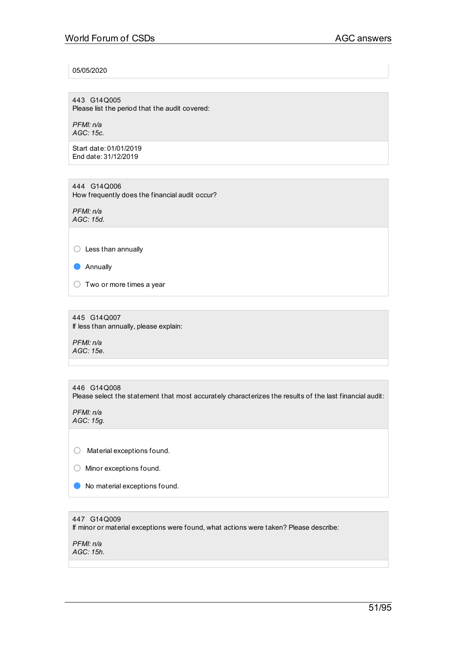# 05/05/2020

443 G14Q005 Please list the period that the audit covered:

*PFMI: n/a AGC: 15c.*

Start date: 01/01/2019 End date: 31/12/2019

444 G14Q006 How frequently does the financial audit occur?

*PFMI: n/a AGC: 15d.*

○ Less than annually

● Annually

 $\bigcirc$  Two or more times a year

445 G14Q007 If less than annually, please explain:

*PFMI: n/a AGC: 15e.*

446 G14Q008 Please select the statement that most accurately characterizes the results of the last financial audit:

*PFMI: n/a AGC: 15g.*

○ Material exceptions found.

○ Minor exceptions found.

● No material exceptions found.

447 G14Q009

If minor or material exceptions were found, what actions were taken? Please describe:

*PFMI: n/a AGC: 15h.*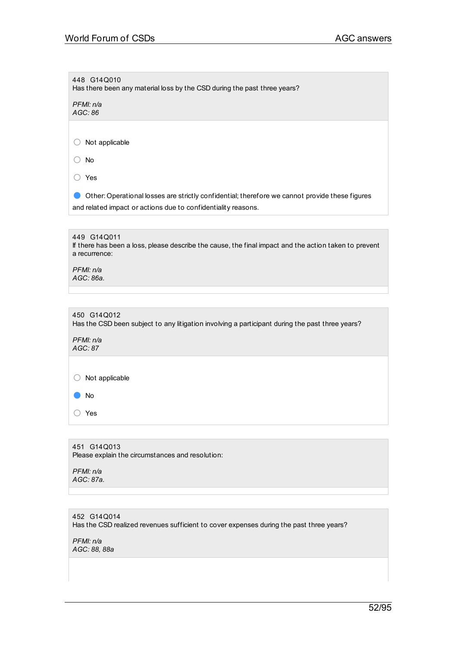| 448 G14Q010<br>Has there been any material loss by the CSD during the past three years?                                                                         |
|-----------------------------------------------------------------------------------------------------------------------------------------------------------------|
| PFMI: n/a<br>AGC: 86                                                                                                                                            |
|                                                                                                                                                                 |
| Not applicable                                                                                                                                                  |
| No                                                                                                                                                              |
| Yes                                                                                                                                                             |
| Other: Operational losses are strictly confidential; therefore we cannot provide these figures<br>and related impact or actions due to confidentiality reasons. |
|                                                                                                                                                                 |
| 449 G14Q011<br>If there has been a loss, please describe the cause, the final impact and the action taken to prevent<br>a recurrence:                           |
| PFMI: n/a<br>AGC: 86a.                                                                                                                                          |
|                                                                                                                                                                 |
| 450 G14Q012<br>Has the CSD been subject to any litigation involving a participant during the past three years?                                                  |
| PFMI: n/a<br>AGC: 87                                                                                                                                            |
|                                                                                                                                                                 |
| Not applicable                                                                                                                                                  |
| No                                                                                                                                                              |
| Yes                                                                                                                                                             |
|                                                                                                                                                                 |
| 451 G14Q013<br>Please explain the circumstances and resolution:                                                                                                 |
| PFMI: n/a<br>AGC: 87a.                                                                                                                                          |
|                                                                                                                                                                 |

452 G14Q014 Has the CSD realized revenues sufficient to cover expenses during the past three years?

*PFMI: n/a AGC: 88, 88a*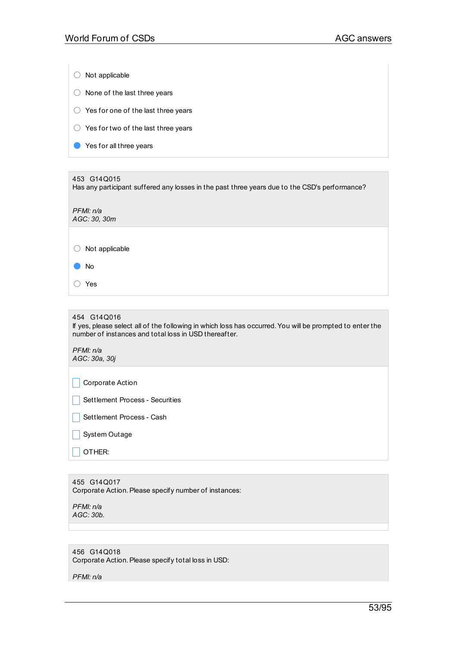| Not applicable                                                |
|---------------------------------------------------------------|
| None of the last three years                                  |
| Yes for one of the last three years<br>$\left( \quad \right)$ |
| Yes for two of the last three years                           |
| Yes for all three years                                       |
|                                                               |

453 G14Q015 Has any participant suffered any losses in the past three years due to the CSD's performance? *PFMI: n/a AGC: 30, 30m* ○ Not applicable ● No ○ Yes

454 G14Q016 If yes, please select all of the following in which loss has occurred.You will be prompted to enter the number of instances and total loss in USD thereafter. *PFMI: n/a AGC: 30a, 30j*

 $\Box$  Corporate Action

Settlement Process - Securities

 $\Box$  Settlement Process - Cash

 $\Box$  System Outage

 $\Box$  Other:

455 G14Q017 Corporate Action. Please specify number of instances:

*PFMI: n/a AGC: 30b.*

456 G14Q018 Corporate Action. Please specify total loss in USD:

*PFMI: n/a*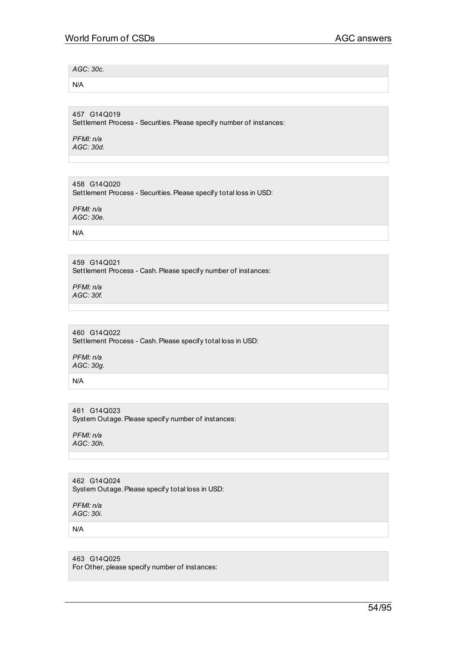*AGC: 30c.*

N/A

457 G14Q019 Settlement Process - Securities. Please specify number of instances:

*PFMI: n/a AGC: 30d.*

458 G14Q020 Settlement Process - Securities. Please specify total loss in USD:

*PFMI: n/a AGC: 30e.*

N/A

459 G14Q021 Settlement Process - Cash. Please specify number of instances:

*PFMI: n/a AGC: 30f.*

460 G14Q022 Settlement Process - Cash. Please specify total loss in USD:

*PFMI: n/a AGC: 30g.*

N/A

461 G14Q023 System Outage. Please specify number of instances:

*PFMI: n/a AGC: 30h.*

462 G14Q024 System Outage. Please specify total loss in USD:

*PFMI: n/a AGC: 30i.*

N/A

463 G14Q025 For Other, please specify number of instances: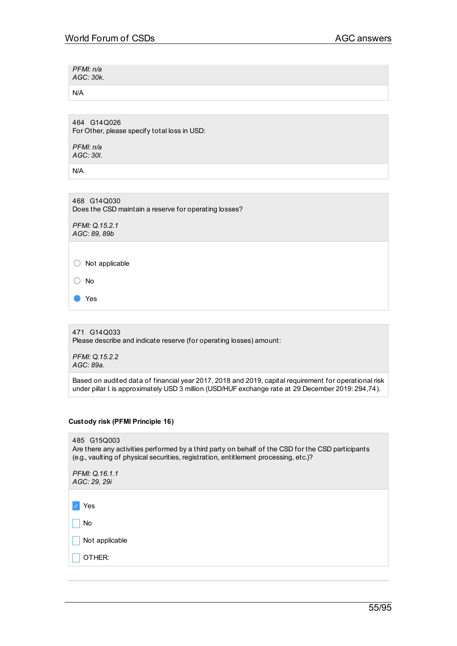| PFMI: n/a<br>AGC: 30k. |  |  |
|------------------------|--|--|
|                        |  |  |

N/A

464 G14Q026 For Other, please specify total loss in USD:

*PFMI: n/a AGC: 30l.*

N/A

468 G14Q030 Does the CSD maintain a reserve for operating losses?

*PFMI: Q.15.2.1 AGC: 89, 89b*

○ Not applicable

○ No

● Yes

471 G14Q033 Please describe and indicate reserve (for operating losses) amount:

*PFMI: Q.15.2.2 AGC: 89a.*

Based on audited data of financial year 2017, 2018 and 2019, capital requirement for operational risk under pillar I. is approximately USD 3 million (USD/HUF exchange rate at 29 December 2019: 294,74).

## **Custody risk (PFMI Principle 16)**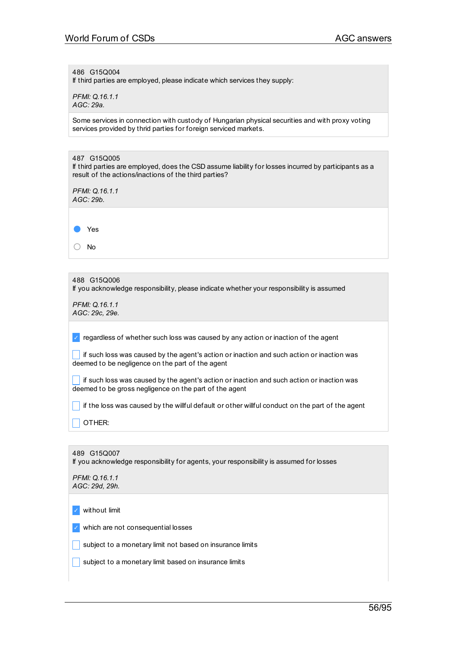486 G15Q004

If third parties are employed, please indicate which services they supply:

*PFMI: Q.16.1.1 AGC: 29a.*

Some services in connection with custody of Hungarian physical securities and with proxy voting services provided by thrid parties for foreign serviced markets.

| 487 G15Q005<br>If third parties are employed, does the CSD assume liability for losses incurred by participants as a<br>result of the actions/inactions of the third parties? |
|-------------------------------------------------------------------------------------------------------------------------------------------------------------------------------|
| PFMI: Q.16.1.1<br>AGC: 29b.                                                                                                                                                   |
|                                                                                                                                                                               |
| Yes                                                                                                                                                                           |
| <b>No</b>                                                                                                                                                                     |
|                                                                                                                                                                               |
| 488 G15Q006<br>If you acknowledge responsibility, please indicate whether your responsibility is assumed                                                                      |
| PFMI: Q.16.1.1<br>AGC: 29c, 29e.                                                                                                                                              |
| regardless of whether such loss was caused by any action or inaction of the agent                                                                                             |
| if such loss was caused by the agent's action or inaction and such action or inaction was<br>deemed to be negligence on the part of the agent                                 |
| if such loss was caused by the agent's action or inaction and such action or inaction was<br>deemed to be gross negligence on the part of the agent                           |
| if the loss was caused by the willful default or other willful conduct on the part of the agent                                                                               |
| OTHER:                                                                                                                                                                        |
|                                                                                                                                                                               |
| 489 G15Q007<br>If you acknowledge responsibility for agents, your responsibility is assumed for losses                                                                        |
| PFMI: Q.16.1.1<br>AGC: 29d, 29h.                                                                                                                                              |
| without limit                                                                                                                                                                 |
| which are not consequential losses                                                                                                                                            |

 $\Box$  subject to a monetary limit not based on insurance limits

 $\Box$  subject to a monetary limit based on insurance limits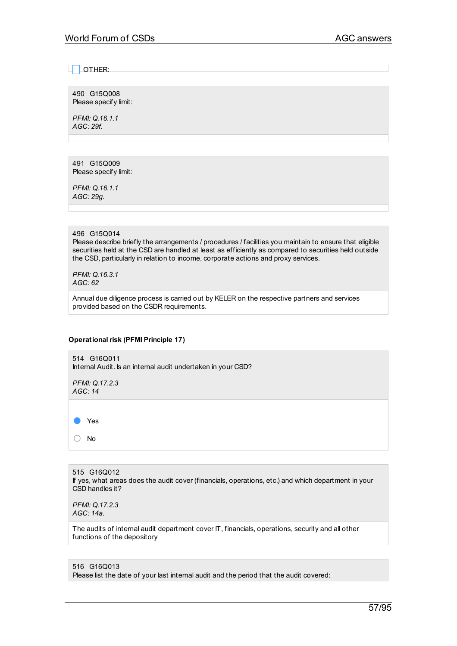$\Box$  OTHER:

490 G15Q008 Please specify limit:

*PFMI: Q.16.1.1 AGC: 29f.*

491 G15Q009 Please specify limit:

*PFMI: Q.16.1.1 AGC: 29g.*

# 496 G15Q014

Please describe briefly the arrangements / procedures / facilities you maintain to ensure that eligible securities held at the CSD are handled at least as efficiently as compared to securities held outside the CSD, particularly in relation to income, corporate actions and proxy services.

*PFMI: Q.16.3.1 AGC: 62*

Annual due diligence process is carried out by KELER on the respective partners and services provided based on the CSDR requirements.

## **Operational risk (PFMI Principle 17)**

514 G16Q011 Internal Audit. Is an internal audit undertaken in your CSD?

*PFMI: Q.17.2.3 AGC: 14*



○ No

515 G16Q012 If yes, what areas does the audit cover (financials, operations, etc.) and which department in your CSD handles it?

*PFMI: Q.17.2.3 AGC: 14a.*

The audits of internal audit department cover IT, financials, operations, security and all other functions of the depository

## 516 G16Q013

Please list the date of your last internal audit and the period that the audit covered: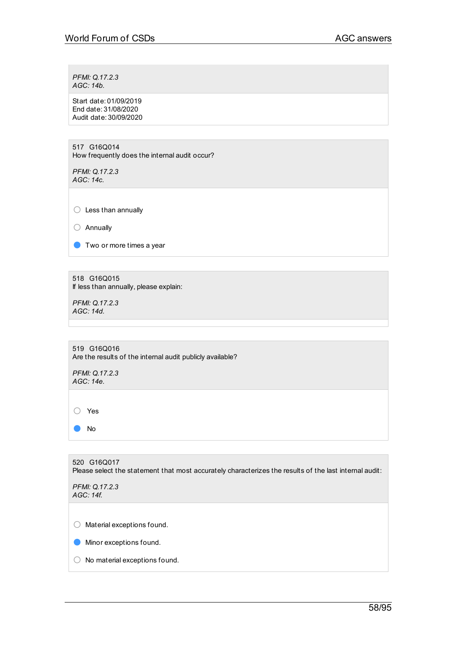*PFMI: Q.17.2.3 AGC: 14b.*

Start date: 01/09/2019 End date: 31/08/2020 Audit date: 30/09/2020

517 G16Q014 How frequently does the internal audit occur?

*PFMI: Q.17.2.3 AGC: 14c.*

○ Less than annually

○ Annually

● Two or more times a year

518 G16Q015 If less than annually, please explain:

*PFMI: Q.17.2.3 AGC: 14d.*

519 G16Q016 Are the results of the internal audit publicly available?

*PFMI: Q.17.2.3 AGC: 14e.*

○ Yes

● No

520 G16Q017 Please select the statement that most accurately characterizes the results of the last internal audit: *PFMI: Q.17.2.3 AGC: 14f.* ○ Material exceptions found. **O** Minor exceptions found. ○ No material exceptions found.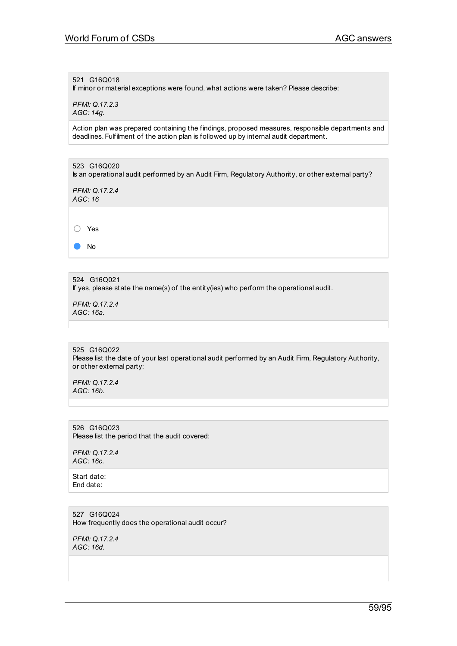521 G16Q018

If minor or material exceptions were found, what actions were taken? Please describe:

*PFMI: Q.17.2.3 AGC: 14g.*

Action plan was prepared containing the findings, proposed measures, responsible departments and deadlines. Fulfilment of the action plan is followed up by internal audit department.

523 G16Q020 Is an operational audit performed by an Audit Firm, Regulatory Authority, or other external party? *PFMI: Q.17.2.4 AGC: 16* ○ Yes ● No

524 G16Q021 If yes, please state the name(s) of the entity(ies) who perform the operational audit.

*PFMI: Q.17.2.4 AGC: 16a.*

525 G16Q022 Please list the date of your last operational audit performed by an Audit Firm, Regulatory Authority, or other external party:

*PFMI: Q.17.2.4 AGC: 16b.*

526 G16Q023 Please list the period that the audit covered:

*PFMI: Q.17.2.4 AGC: 16c.*

Start date: End date:

527 G16Q024 How frequently does the operational audit occur?

*PFMI: Q.17.2.4 AGC: 16d.*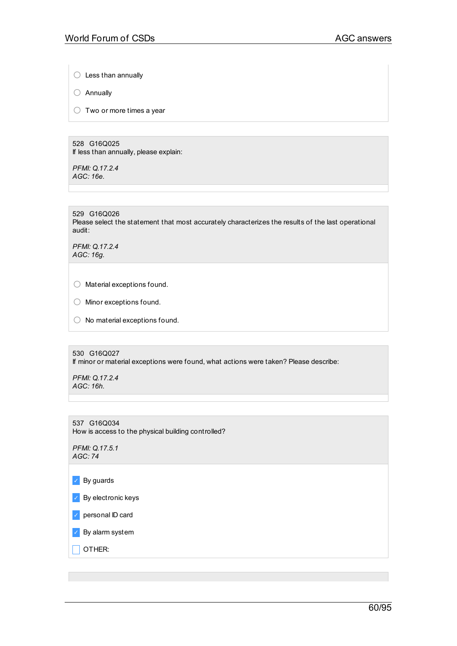$\bigcirc$  Less than annually

○ Annually

 $\bigcirc$  Two or more times a year

528 G16Q025 If less than annually, please explain:

*PFMI: Q.17.2.4 AGC: 16e.*

529 G16Q026

Please select the statement that most accurately characterizes the results of the last operational audit:

*PFMI: Q.17.2.4 AGC: 16g.*

○ Material exceptions found.

○ Minor exceptions found.

 $\bigcirc$  No material exceptions found.

530 G16Q027 If minor or material exceptions were found, what actions were taken? Please describe:

*PFMI: Q.17.2.4 AGC: 16h.*

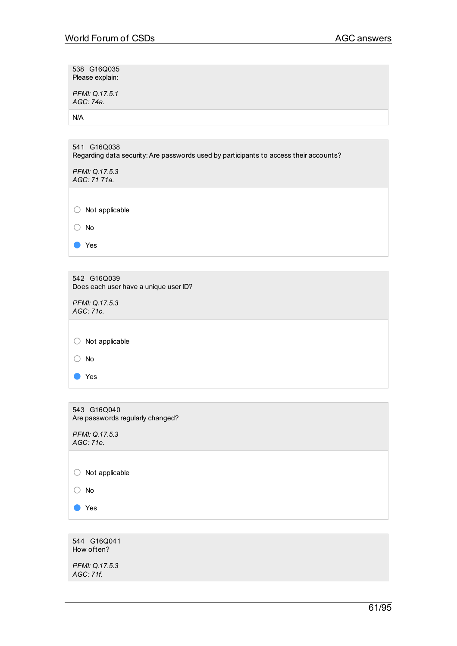538 G16Q035 Please explain:

*PFMI: Q.17.5.1 AGC: 74a.*

N/A

| 541 G16Q038<br>Regarding data security: Are passwords used by participants to access their accounts? |
|------------------------------------------------------------------------------------------------------|
| PFMI: Q.17.5.3<br>AGC: 71 71a.                                                                       |
|                                                                                                      |
| Not applicable                                                                                       |
| <b>No</b>                                                                                            |
| Yes                                                                                                  |
|                                                                                                      |

| 542 G16Q039<br>Does each user have a unique user ID? |
|------------------------------------------------------|
| PFMI: Q.17.5.3<br>AGC: 71c.                          |
|                                                      |
| Not applicable                                       |
| No                                                   |
| Yes                                                  |
|                                                      |

543 G16Q040 Are passwords regularly changed?

*PFMI: Q.17.5.3 AGC: 71e.*

○ Not applicable

○ No

● Yes

544 G16Q041 How often?

*PFMI: Q.17.5.3 AGC: 71f.*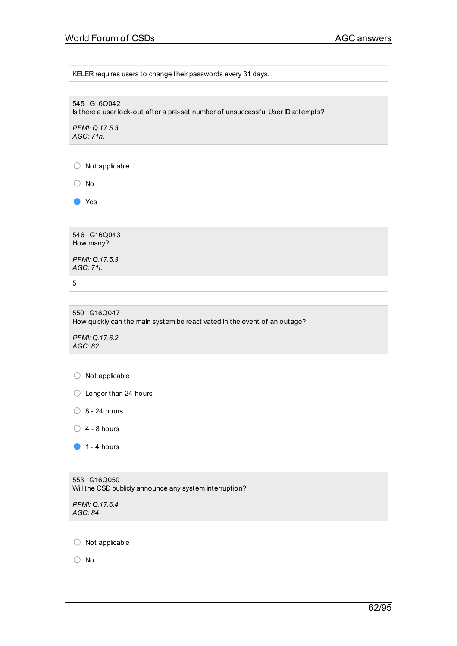KELER requires users to change their passwords every 31 days.

545 G16Q042 Is there a user lock-out after a pre-set number of unsuccessful User ID attempts?

*PFMI: Q.17.5.3 AGC: 71h.*

○ Not applicable

○ No

● Yes

546 G16Q043 How many?

*PFMI: Q.17.5.3 AGC: 71i.*

5

550 G16Q047 How quickly can the main system be reactivated in the event of an outage?

*PFMI: Q.17.6.2 AGC: 82*

○ Not applicable

○ Longer than 24 hours

 $\bigcirc$  8 - 24 hours

 $\bigcirc$  4 - 8 hours

 $\bullet$  1 - 4 hours

553 G16Q050 Will the CSD publicly announce any system interruption? *PFMI: Q.17.6.4 AGC: 84*

○ Not applicable

○ No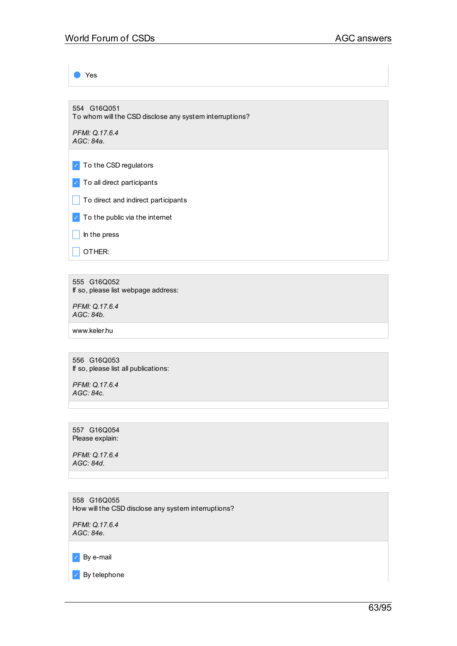Yes

554 G16Q051 To whom will the CSD disclose any system interruptions?

*PFMI: Q.17.6.4 AGC: 84a.*

✓ To the CSD regulators

✓ To all direct participants

 $\Box$  To direct and indirect participants

 $\triangledown$  To the public via the internet

 $\Box$  In the press

 $\Box$  Other:

555 G16Q052 If so, please list webpage address:

*PFMI: Q.17.6.4 AGC: 84b.*

www.keler.hu

556 G16Q053 If so, please list all publications:

*PFMI: Q.17.6.4 AGC: 84c.*

557 G16Q054 Please explain:

*PFMI: Q.17.6.4 AGC: 84d.*

558 G16Q055 How will the CSD disclose any system interruptions?

*PFMI: Q.17.6.4 AGC: 84e.*

✓ By e-mail

✓ By telephone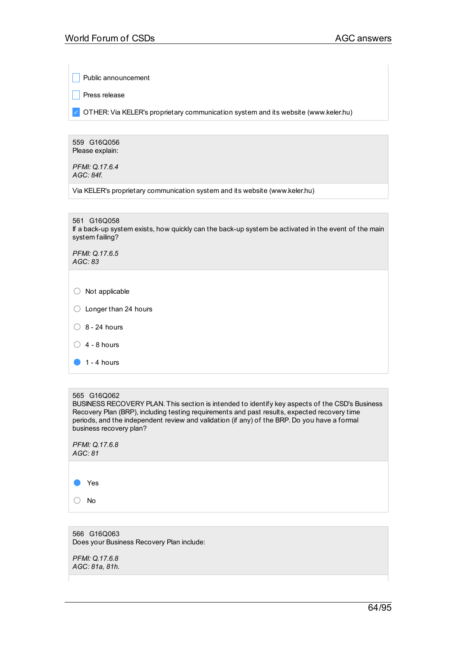Public announcement

 $\Box$  Press release

✓ OTHER:Via KELER's proprietary communication system and its website (www.keler.hu)

559 G16Q056 Please explain:

*PFMI: Q.17.6.4 AGC: 84f.*

Via KELER's proprietary communication system and its website (www.keler.hu)

| 561 G16Q058<br>If a back-up system exists, how quickly can the back-up system be activated in the event of the main<br>system failing? |
|----------------------------------------------------------------------------------------------------------------------------------------|
| PFMI: Q.17.6.5<br>AGC: 83                                                                                                              |
| Not applicable                                                                                                                         |

- $\bigcirc$  8 24 hours
- $\bigcirc$  4 8 hours
- $\bullet$  1 4 hours

#### 565 G16Q062

BUSINESS RECOVERY PLAN. This section is intended to identify key aspects of the CSD's Business Recovery Plan (BRP), including testing requirements and past results, expected recovery time periods, and the independent review and validation (if any) of the BRP. Do you have a formal business recovery plan?

| PFMI: Q.17.6.8 |
|----------------|
| AGC: 81        |

● Yes

○ No

566 G16Q063 Does your Business Recovery Plan include:

*PFMI: Q.17.6.8 AGC: 81a, 81h.*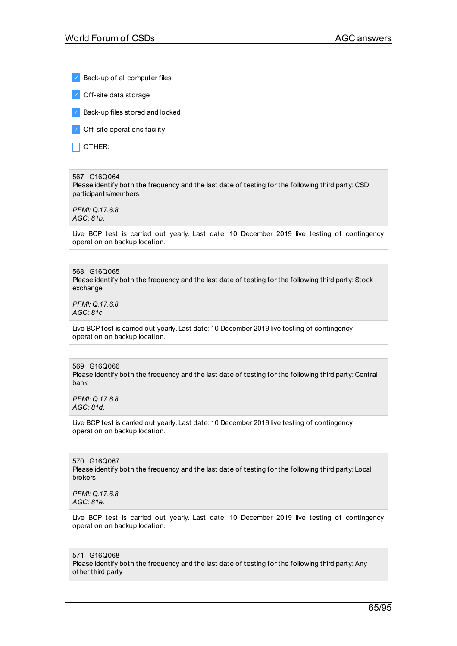Back-up of all computer files

✓ Off-site data storage

✓ Back-up files stored and locked

✓ Off-site operations facility

 $\Box$  OTHER:

#### 567 G16Q064

Please identify both the frequency and the last date of testing for the following third party: CSD participants/members

*PFMI: Q.17.6.8 AGC: 81b.*

Live BCP test is carried out yearly. Last date: 10 December 2019 live testing of contingency operation on backup location.

568 G16Q065 Please identify both the frequency and the last date of testing for the following third party: Stock exchange

*PFMI: Q.17.6.8 AGC: 81c.*

Live BCP test is carried out yearly. Last date: 10 December 2019 live testing of contingency operation on backup location.

# 569 G16Q066

Please identify both the frequency and the last date of testing for the following third party: Central bank

*PFMI: Q.17.6.8 AGC: 81d.*

Live BCP test is carried out yearly. Last date: 10 December 2019 live testing of contingency operation on backup location.

570 G16Q067 Please identify both the frequency and the last date of testing for the following third party: Local brokers

*PFMI: Q.17.6.8 AGC: 81e.*

Live BCP test is carried out yearly. Last date: 10 December 2019 live testing of contingency operation on backup location.

571 G16Q068 Please identify both the frequency and the last date of testing for the following third party:Any other third party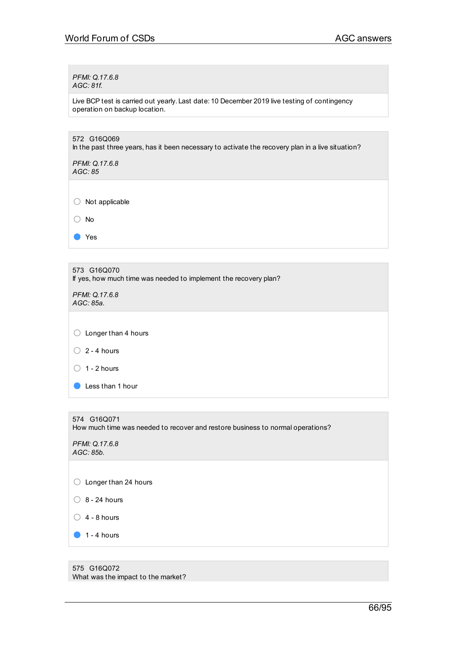*PFMI: Q.17.6.8 AGC: 81f.*

Live BCP test is carried out yearly. Last date: 10 December 2019 live testing of contingency operation on backup location.

| 572 G16Q069<br>In the past three years, has it been necessary to activate the recovery plan in a live situation? |
|------------------------------------------------------------------------------------------------------------------|
| PFMI: Q.17.6.8<br>AGC: 85                                                                                        |
|                                                                                                                  |
| Not applicable                                                                                                   |
| No                                                                                                               |
| Yes                                                                                                              |
|                                                                                                                  |
| 573 G16Q070<br>If yes, how much time was needed to implement the recovery plan?                                  |
| PFMI: Q.17.6.8<br>AGC: 85a.                                                                                      |
|                                                                                                                  |
| Longer than 4 hours<br>O                                                                                         |
| $2 - 4$ hours<br>$($ )                                                                                           |
| $1 - 2$ hours                                                                                                    |
| Less than 1 hour                                                                                                 |
|                                                                                                                  |
| 574 G16Q071<br>How much time was needed to recover and restore business to normal operations?                    |
| PFMI: Q.17.6.8<br>AGC: 85b.                                                                                      |
|                                                                                                                  |
| Longer than 24 hours<br>0                                                                                        |
| 8 - 24 hours                                                                                                     |
| 4 - 8 hours                                                                                                      |
| $1 - 4$ hours                                                                                                    |

575 G16Q072 What was the impact to the market?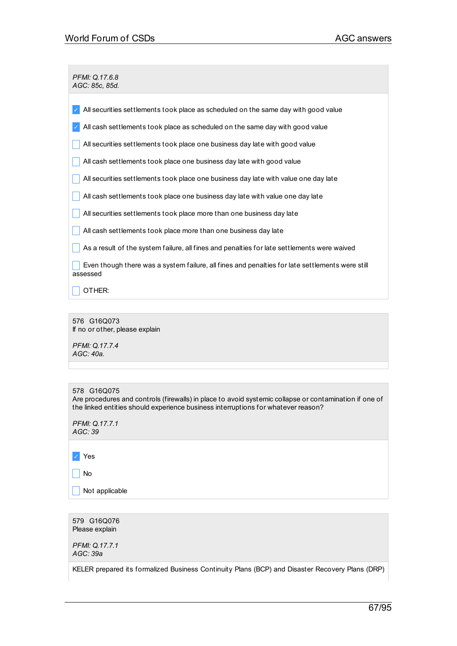*PFMI: Q.17.6.8 AGC: 85c, 85d.*

| All securities settlements took place as scheduled on the same day with good value                          |
|-------------------------------------------------------------------------------------------------------------|
| All cash settlements took place as scheduled on the same day with good value                                |
| All securities settlements took place one business day late with good value                                 |
| All cash settlements took place one business day late with good value                                       |
| All securities settlements took place one business day late with value one day late                         |
| All cash settlements took place one business day late with value one day late                               |
| All securities settlements took place more than one business day late                                       |
| All cash settlements took place more than one business day late                                             |
| As a result of the system failure, all fines and penalties for late settlements were waived                 |
| Even though there was a system failure, all fines and penalties for late settlements were still<br>assessed |
| OTHER:                                                                                                      |

576 G16Q073 If no or other, please explain

*PFMI: Q.17.7.4 AGC: 40a.*

Are procedures and controls (firewalls) in place to avoid systemic collapse or contamination if one of the linked entities should experience business interruptions for whatever reason?

*PFMI: Q.17.7.1 AGC: 39*

✓ Yes

 $\Box$  No

 $\Box$  Not applicable

579 G16Q076 Please explain

*PFMI: Q.17.7.1 AGC: 39a*

KELER prepared its formalized Business Continuity Plans (BCP) and Disaster Recovery Plans (DRP)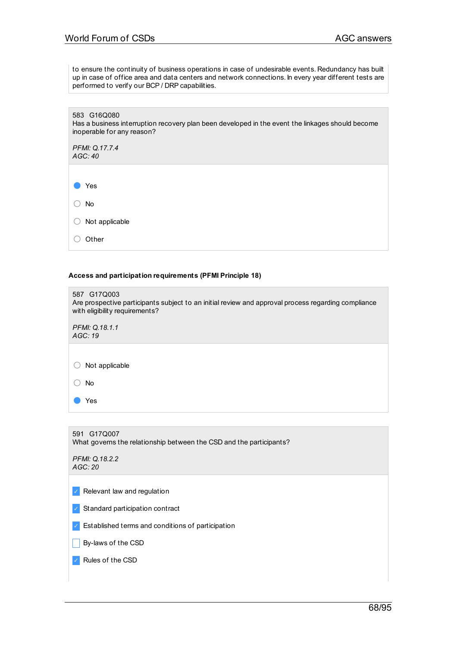to ensure the continuity of business operations in case of undesirable events. Redundancy has built up in case of office area and data centers and network connections. In every year different tests are performed to verify our BCP / DRP capabilities.

583 G16Q080 Has a business interruption recovery plan been developed in the event the linkages should become inoperable for any reason?

*PFMI: Q.17.7.4 AGC: 40*

● Yes

○ No

○ Not applicable

○ Other

**Access and participation requirements (PFMI Principle 18)**

| 587 G17Q003<br>Are prospective participants subject to an initial review and approval process regarding compliance<br>with eligibility requirements? |
|------------------------------------------------------------------------------------------------------------------------------------------------------|
| PFMI: Q.18.1.1<br>AGC:19                                                                                                                             |
|                                                                                                                                                      |
| Not applicable                                                                                                                                       |
| No                                                                                                                                                   |
| Yes                                                                                                                                                  |
|                                                                                                                                                      |

591 G17Q007 What governs the relationship between the CSD and the participants? *PFMI: Q.18.2.2 AGC: 20*  $\vee$  Relevant law and regulation ✓ Standard participation contract ✓ Established terms and conditions of participation  $\Box$  By-laws of the CSD ✓ Rules of the CSD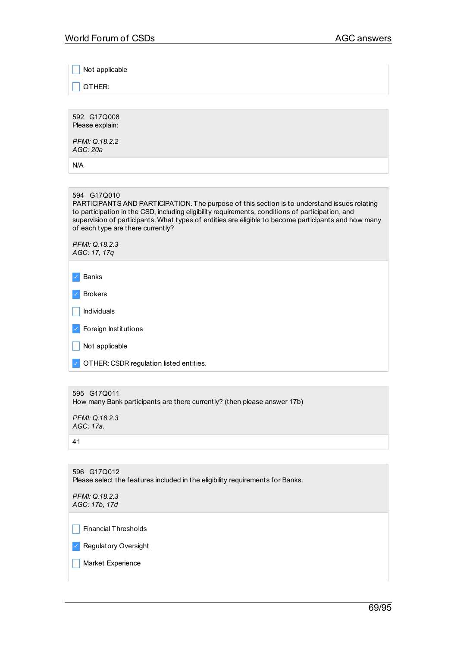Not applicable

\_ OTHER:

592 G17Q008 Please explain:

*PFMI: Q.18.2.2 AGC: 20a*

N/A

#### 594 G17Q010

PARTICIPANTS AND PARTICIPATION. The purpose of this section is to understand issues relating to participation in the CSD, including eligibility requirements, conditions of participation, and supervision of participants. What types of entities are eligible to become participants and how many of each type are there currently?

*PFMI: Q.18.2.3 AGC: 17, 17q*

✓ Banks

| Brokers |
|---------|
|---------|

 $\vert \vert$  Individuals

✓ Foreign Institutions

 $\vert$  Not applicable

✓ OTHER: CSDR regulation listed entities.

```
595 G17Q011
```
How many Bank participants are there currently? (then please answer 17b)

*PFMI: Q.18.2.3 AGC: 17a.*

41

596 G17Q012 Please select the features included in the eligibility requirements for Banks. *PFMI: Q.18.2.3 AGC: 17b, 17d*  $\Box$  Financial Thresholds

✓ Regulatory Oversight

| Market Experience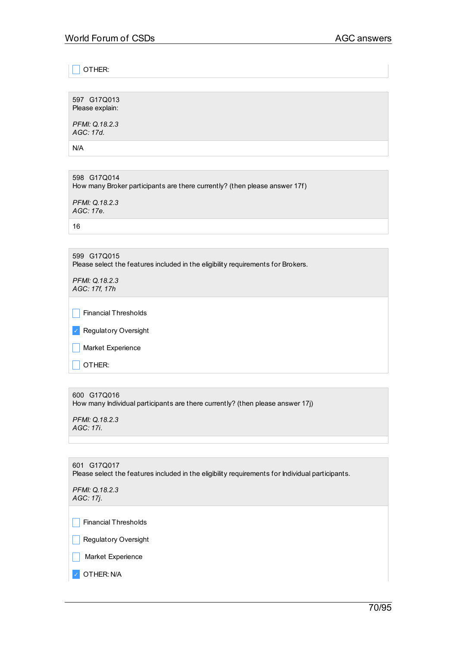\_ OTHER:

597 G17Q013 Please explain:

*PFMI: Q.18.2.3 AGC: 17d.*

N/A

598 G17Q014 How many Broker participants are there currently? (then please answer 17f)

*PFMI: Q.18.2.3 AGC: 17e.*

16

599 G17Q015 Please select the features included in the eligibility requirements for Brokers.

*PFMI: Q.18.2.3 AGC: 17f, 17h*

 $\Box$  Financial Thresholds

✓ Regulatory Oversight

 $\Box$  Market Experience

 $\Box$  OTHER:

600 G17Q016

How many Individual participants are there currently? (then please answer 17j)

*PFMI: Q.18.2.3 AGC: 17i.*

601 G17Q017 Please select the features included in the eligibility requirements for Individual participants.

*PFMI: Q.18.2.3 AGC: 17j.*

 $\Box$  Financial Thresholds

 $\Box$  Regulatory Oversight

 $\Box$  Market Experience

✓ OTHER: N/A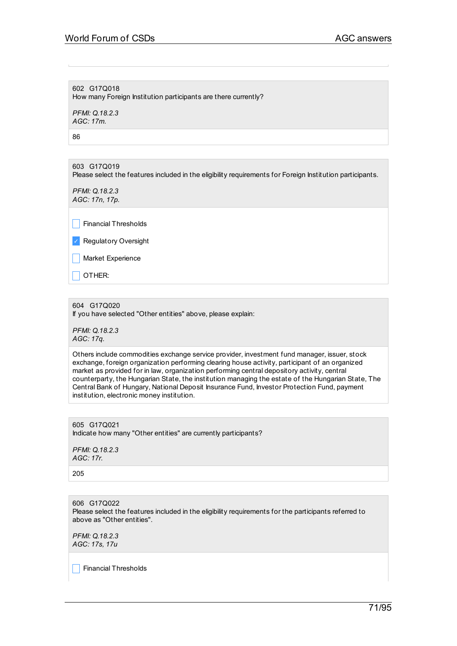602 G17Q018 How many Foreign Institution participants are there currently?

*PFMI: Q.18.2.3 AGC: 17m.*

86

603 G17Q019 Please select the features included in the eligibility requirements for Foreign Institution participants.

*PFMI: Q.18.2.3 AGC: 17n, 17p.*

 $\Box$  Financial Thresholds

✓ Regulatory Oversight

**Narket Experience** 

\_ OTHER:

604 G17Q020

If you have selected "Other entities" above, please explain:

*PFMI: Q.18.2.3 AGC: 17q.*

Others include commodities exchange service provider, investment fund manager, issuer, stock exchange, foreign organization performing clearing house activity, participant of an organized market as provided for in law, organization performing central depository activity, central counterparty, the Hungarian State, the institution managing the estate of the Hungarian State, The Central Bank of Hungary, National Deposit Insurance Fund, Investor Protection Fund, payment institution, electronic money institution.

605 G17Q021 Indicate how many "Other entities" are currently participants?

*PFMI: Q.18.2.3 AGC: 17r.*

205

606 G17Q022 Please select the features included in the eligibility requirements for the participants referred to above as "Other entities".

*PFMI: Q.18.2.3 AGC: 17s, 17u*

\_ Financial Thresholds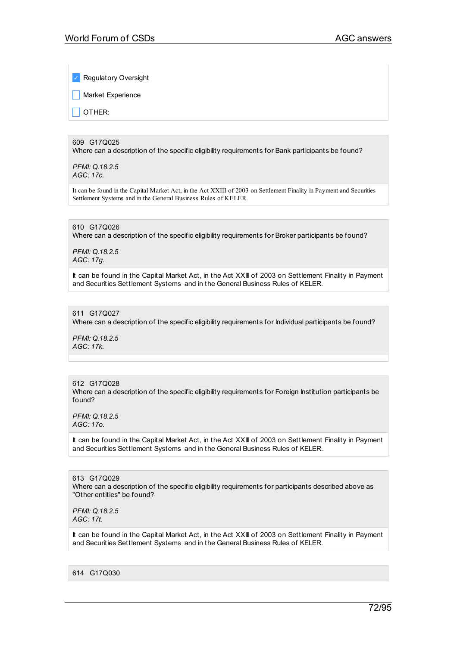**Regulatory Oversight** 

Market Experience

\_ OTHER:

## 609 G17Q025

Where can a description of the specific eligibility requirements for Bank participants be found?

*PFMI: Q.18.2.5 AGC: 17c.*

It can be found in the Capital Market Act, in the Act XXIII of 2003 on Settlement Finality in Payment and Securities Settlement Systems and in the General Business Rules of KELER.

### 610 G17Q026

Where can a description of the specific eligibility requirements for Broker participants be found?

*PFMI: Q.18.2.5 AGC: 17g.*

It can be found in the Capital Market Act, in the Act XXIII of 2003 on Settlement Finality in Payment and Securities Settlement Systems and in the General Business Rules of KELER.

#### 611 G17Q027

Where can a description of the specific eligibility requirements for Individual participants be found?

*PFMI: Q.18.2.5 AGC: 17k.*

# 612 G17Q028

Where can a description of the specific eligibility requirements for Foreign Institution participants be found?

*PFMI: Q.18.2.5 AGC: 17o.*

It can be found in the Capital Market Act, in the Act XXIII of 2003 on Settlement Finality in Payment and Securities Settlement Systems and in the General Business Rules of KELER.

613 G17Q029 Where can a description of the specific eligibility requirements for participants described above as "Other entities" be found?

*PFMI: Q.18.2.5 AGC: 17t.*

It can be found in the Capital Market Act, in the Act XXIII of 2003 on Settlement Finality in Payment and Securities Settlement Systems and in the General Business Rules of KELER.

614 G17Q030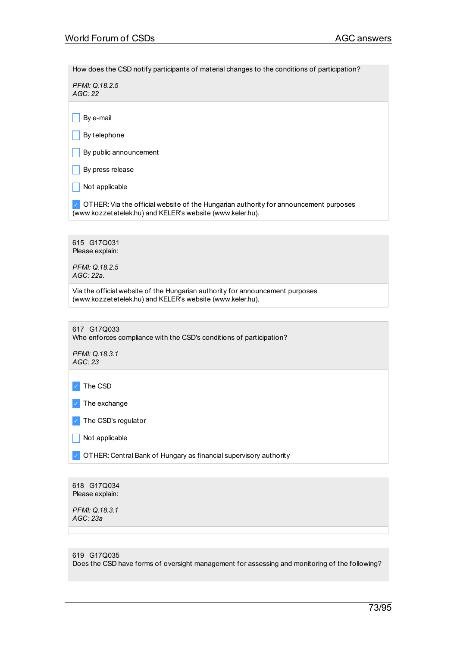How does the CSD notify participants of material changes to the conditions of participation?

*PFMI: Q.18.2.5 AGC: 22*

 $\Box$  By e-mail

 $\Box$  By telephone

 $\Box$  By public announcement

 $\vert$  By press release

 $\Box$  Not applicable

 $\vee$  OTHER: Via the official website of the Hungarian authority for announcement purposes (www.kozzetetelek.hu) and KELER's website (www.keler.hu).

615 G17Q031 Please explain:

*PFMI: Q.18.2.5 AGC: 22a.*

Via the official website of the Hungarian authority for announcement purposes (www.kozzetetelek.hu) and KELER's website (www.keler.hu).

617 G17Q033 Who enforces compliance with the CSD's conditions of participation? *PFMI: Q.18.3.1 AGC: 23* ✓ The CSD

✓ The exchange

✓ The CSD's regulator

 $\Box$  Not applicable

✓ OTHER: Central Bank of Hungary as financial supervisory authority

618 G17Q034 Please explain:

*PFMI: Q.18.3.1 AGC: 23a*

| 619 G17Q035                                                                                    |
|------------------------------------------------------------------------------------------------|
| Does the CSD have forms of oversight management for assessing and monitoring of the following? |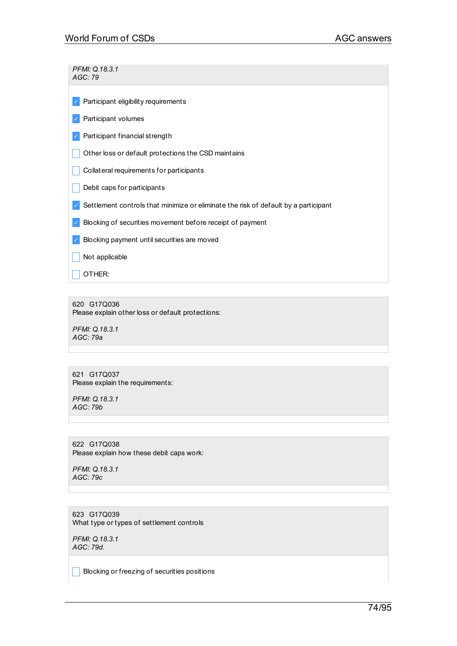| PFMI: Q.18.3.1<br>AGC: 79                                                           |
|-------------------------------------------------------------------------------------|
| Participant eligibility requirements                                                |
| Participant volumes                                                                 |
| Participant financial strength                                                      |
| Other loss or default protections the CSD maintains                                 |
| Collateral requirements for participants                                            |
| Debit caps for participants                                                         |
| Settlement controls that minimize or eliminate the risk of default by a participant |
| Blocking of securities movement before receipt of payment                           |
| Blocking payment until securities are moved                                         |
| Not applicable                                                                      |
| OTHER:                                                                              |

620 G17Q036 Please explain other loss or default protections:

*PFMI: Q.18.3.1 AGC: 79a*

621 G17Q037 Please explain the requirements:

*PFMI: Q.18.3.1 AGC: 79b*

622 G17Q038 Please explain how these debit caps work:

*PFMI: Q.18.3.1 AGC: 79c*

623 G17Q039 What type or types of settlement controls

*PFMI: Q.18.3.1 AGC: 79d.*

**Blocking or freezing of securities positions**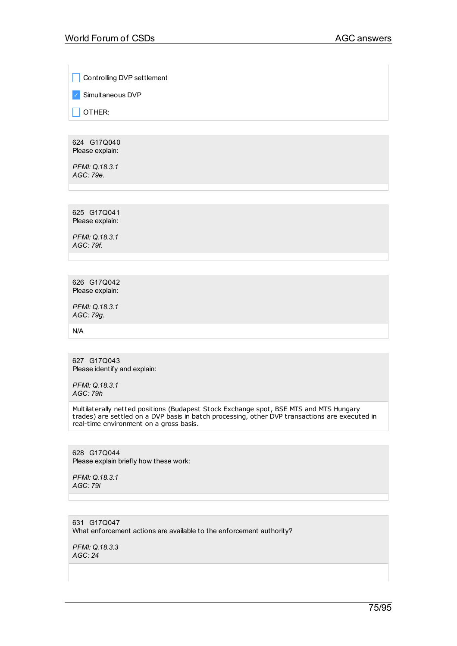**Controlling DVP settlement** 

✓ Simultaneous DVP

 $\Box$  OTHER:

624 G17Q040 Please explain:

*PFMI: Q.18.3.1 AGC: 79e.*

625 G17Q041 Please explain:

*PFMI: Q.18.3.1 AGC: 79f.*

626 G17Q042 Please explain:

*PFMI: Q.18.3.1 AGC: 79g.*

N/A

627 G17Q043 Please identify and explain:

*PFMI: Q.18.3.1 AGC: 79h*

Multilaterally netted positions (Budapest Stock Exchange spot, BSE MTS and MTS Hungary trades) are settled on a DVP basis in batch processing, other DVP transactions are executed in real-time environment on a gross basis.

628 G17Q044 Please explain briefly how these work:

*PFMI: Q.18.3.1 AGC: 79i*

631 G17Q047 What enforcement actions are available to the enforcement authority?

*PFMI: Q.18.3.3 AGC: 24*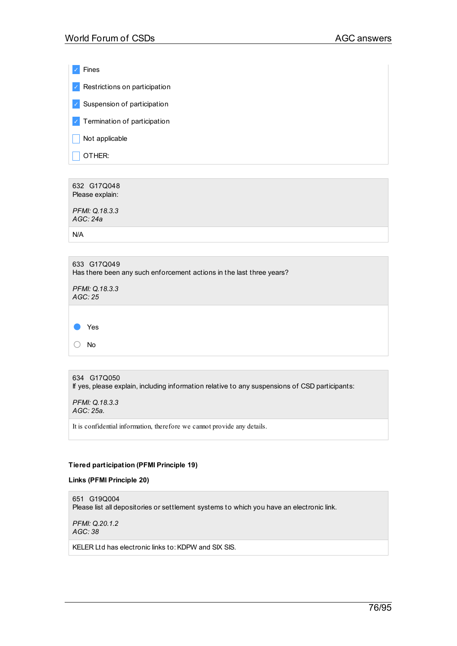✓ Fines  $\vee$  Restrictions on participation ✓ Suspension of participation ✓ Termination of participation  $\Box$  Not applicable  $\sqrt{ }$  OTHER:

632 G17Q048 Please explain:

*PFMI: Q.18.3.3 AGC: 24a*

N/A

| 633 G17Q049<br>Has there been any such enforcement actions in the last three years? |
|-------------------------------------------------------------------------------------|
| PFMI: Q.18.3.3<br>AGC:25                                                            |
|                                                                                     |
| Yes                                                                                 |
| No                                                                                  |

634 G17Q050 If yes, please explain, including information relative to any suspensions of CSD participants:

*PFMI: Q.18.3.3 AGC: 25a.*

It is confidential information, therefore we cannot provide any details.

## **Tiered participation (PFMI Principle 19)**

**Links (PFMI Principle 20)**

651 G19Q004 Please list all depositories or settlement systems to which you have an electronic link.

*PFMI: Q.20.1.2 AGC: 38*

KELER Ltd has electronic links to: KDPW and SIX SIS.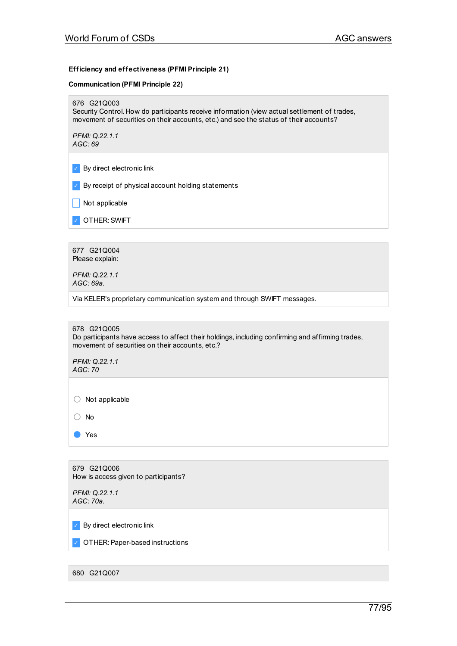#### **Efficiency and effectiveness (PFMI Principle 21)**

#### **Communication (PFMI Principle 22)**

676 G21Q003

Security Control. How do participants receive information (view actual settlement of trades, movement of securities on their accounts, etc.) and see the status of their accounts?

*PFMI: Q.22.1.1 AGC: 69*

✓ By direct electronic link

 $\triangledown$  By receipt of physical account holding statements

 $\Box$  Not applicable

✓ OTHER:SWIFT

677 G21Q004 Please explain:

*PFMI: Q.22.1.1 AGC: 69a.*

Via KELER's proprietary communication system and through SWIFT messages.

#### 678 G21Q005

Do participants have access to affect their holdings, including confirming and affirming trades, movement of securities on their accounts, etc.?

*PFMI: Q.22.1.1 AGC: 70*

○ Not applicable

○ No

● Yes

679 G21Q006 How is access given to participants?

*PFMI: Q.22.1.1 AGC: 70a.*

✓ By direct electronic link

✓ OTHER:Paper-based instructions

680 G21Q007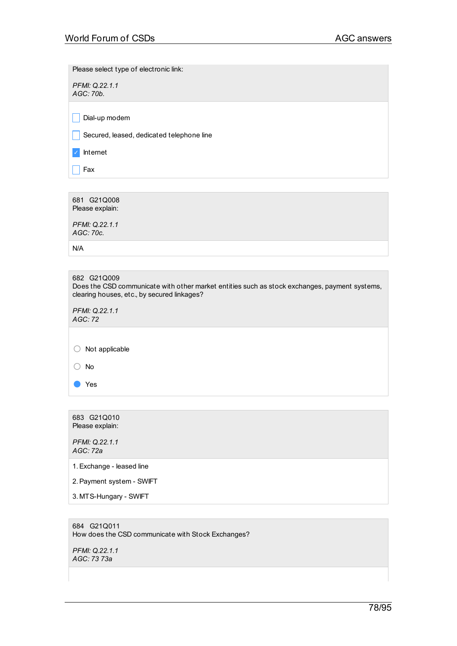Please select type of electronic link:

*PFMI: Q.22.1.1 AGC: 70b.*

 $\Box$  Dial-up modem

Secured, leased, dedicated telephone line

✓ Internet

 $|$  Fax

681 G21Q008 Please explain: *PFMI: Q.22.1.1 AGC: 70c.* N/A 682 G21Q009 Does the CSD communicate with other market entities such as stock exchanges, payment systems, clearing houses, etc., by secured linkages? *PFMI: Q.22.1.1 AGC: 72* ○ Not applicable ○ No ● Yes

683 G21Q010 Please explain:

*PFMI: Q.22.1.1 AGC: 72a*

1.Exchange - leased line

2.Payment system - SWIFT

3. MTS-Hungary - SWIFT

684 G21Q011 How does the CSD communicate with Stock Exchanges?

*PFMI: Q.22.1.1 AGC: 73 73a*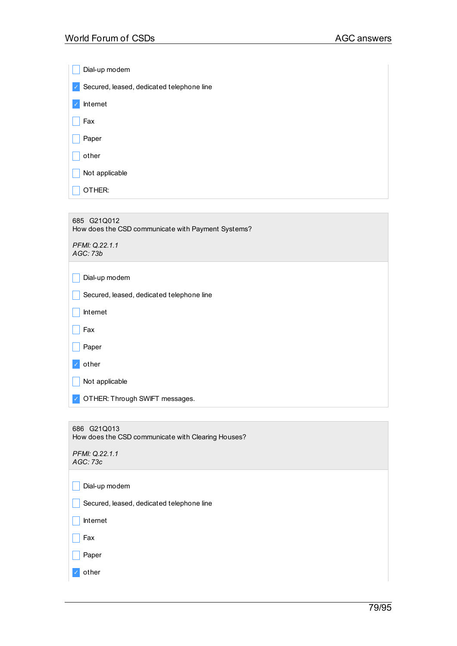| Dial-up modem                                             |
|-----------------------------------------------------------|
| Secured, leased, dedicated telephone line<br>$\checkmark$ |
| Internet                                                  |
| Fax                                                       |
| Paper                                                     |
| other                                                     |
| Not applicable                                            |
| OTHER:                                                    |
|                                                           |

| 685 G21Q012<br>How does the CSD communicate with Payment Systems? |
|-------------------------------------------------------------------|
| PFMI: Q.22.1.1<br>AGC: 73b                                        |
| Dial-up modem                                                     |
| Secured, leased, dedicated telephone line                         |
| Internet                                                          |
| Fax                                                               |
| Paper                                                             |
| other                                                             |
| Not applicable                                                    |
| OTHER: Through SWIFT messages.                                    |
|                                                                   |
| 686 G21Q013<br>How does the CSD communicate with Clearing Houses? |

| PFMI: Q.22.1.1 |
|----------------|
| AGC: 73c       |

|                          | Dial-up modem                             |
|--------------------------|-------------------------------------------|
|                          | Secured, leased, dedicated telephone line |
|                          | Internet                                  |
|                          | Fax                                       |
|                          | Paper                                     |
| $\overline{\mathscr{S}}$ | other                                     |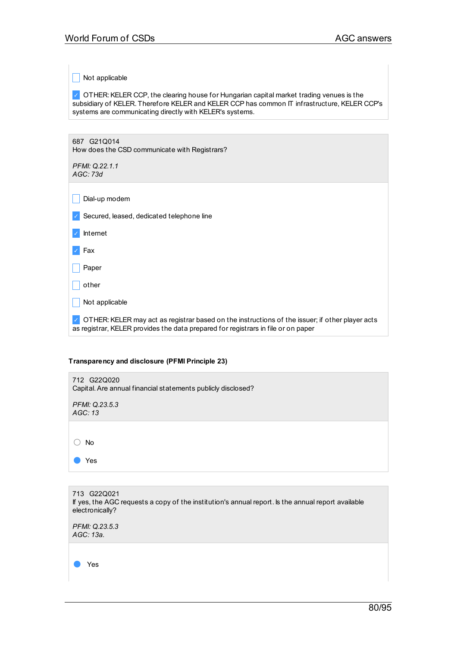$\blacksquare$  Not applicable

✓ OTHER:KELER CCP, the clearing house for Hungarian capital market trading venues is the subsidiary of KELER. Therefore KELER and KELER CCP has common IT infrastructure, KELER CCP's systems are communicating directly with KELER's systems.

687 G21Q014 How does the CSD communicate with Registrars?

*PFMI: Q.22.1.1 AGC: 73d*

 $\Box$  Dial-up modem

✓ Secured, leased, dedicated telephone line

✓ Internet

✓ Fax

 $\sqrt{\phantom{a}}$  Paper

 $\Box$  other

 $\Box$  Not applicable

✓ OTHER:KELER may act as registrar based on the instructions of the issuer; if other player acts as registrar, KELER provides the data prepared for registrars in file or on paper

## **Transparency and disclosure (PFMI Principle 23)**

| 712 G22Q020<br>Capital. Are annual financial statements publicly disclosed? |
|-----------------------------------------------------------------------------|
| PFMI: Q.23.5.3<br>AGC: 13                                                   |
|                                                                             |
| <b>No</b>                                                                   |
| Yes                                                                         |

| 713 G22Q021<br>If yes, the AGC requests a copy of the institution's annual report. Is the annual report available<br>electronically? |
|--------------------------------------------------------------------------------------------------------------------------------------|
| PFMI: Q.23.5.3<br>AGC: 13a.                                                                                                          |
| Yes                                                                                                                                  |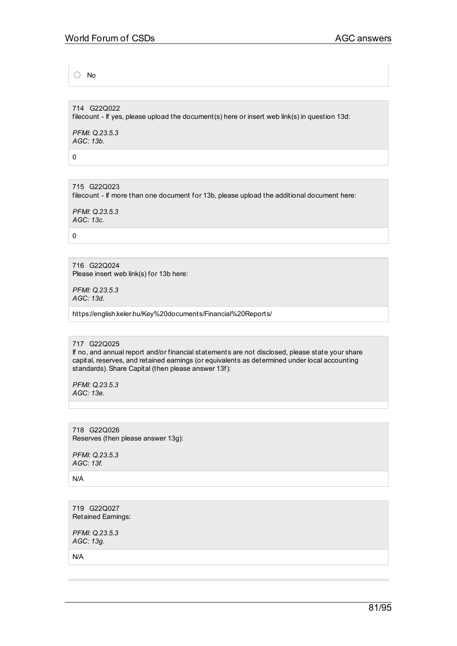○ No

714 G22Q022 filecount - If yes, please upload the document(s) here or insert web link(s) in question 13d:

*PFMI: Q.23.5.3 AGC: 13b.*

0

715 G22Q023 filecount - If more than one document for 13b, please upload the additional document here:

*PFMI: Q.23.5.3 AGC: 13c.*

 $\Omega$ 

716 G22Q024 Please insert web link(s) for 13b here:

*PFMI: Q.23.5.3 AGC: 13d.*

https://english.keler.hu/Key%20documents/Financial%20Reports/

717 G22Q025

If no, and annual report and/or financial statements are not disclosed, please state your share capital, reserves, and retained earnings (or equivalents as determined under local accounting standards).Share Capital (then please answer 13f):

*PFMI: Q.23.5.3 AGC: 13e.*

718 G22Q026 Reserves (then please answer 13g):

*PFMI: Q.23.5.3 AGC: 13f.*

N/A

719 G22Q027 Retained Earnings:

*PFMI: Q.23.5.3 AGC: 13g.*

N/A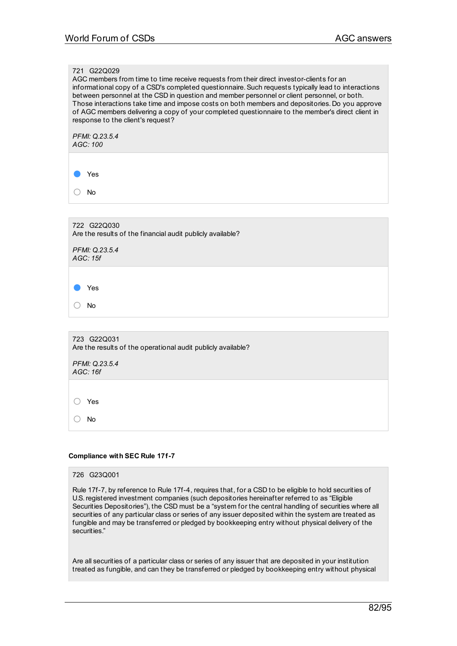## 721 G22Q029

AGC members from time to time receive requests from their direct investor-clients for an informational copy of a CSD's completed questionnaire.Such requests typically lead to interactions between personnel at the CSD in question and member personnel or client personnel, or both. Those interactions take time and impose costs on both members and depositories. Do you approve of AGC members delivering a copy of your completed questionnaire to the member's direct client in response to the client's request?

*PFMI: Q.23.5.4 AGC: 100*

Yes

○ No

722 G22Q030 Are the results of the financial audit publicly available?

*PFMI: Q.23.5.4 AGC: 15f*

● Yes

○ No

723 G22Q031 Are the results of the operational audit publicly available?

*PFMI: Q.23.5.4 AGC: 16f*

○ Yes

○ No

#### **Compliance with SEC Rule 17f-7**

#### 726 G23Q001

Rule 17f-7, by reference to Rule 17f-4, requires that, for a CSD to be eligible to hold securities of U.S.registered investment companies (such depositories hereinafter referred to as "Eligible Securities Depositories"), the CSD must be a "system for the central handling of securities where all securities of any particular class or series of any issuer deposited within the system are treated as fungible and may be transferred or pledged by bookkeeping entry without physical delivery of the securities."

Are all securities of a particular class or series of any issuer that are deposited in your institution treated as fungible, and can they be transferred or pledged by bookkeeping entry without physical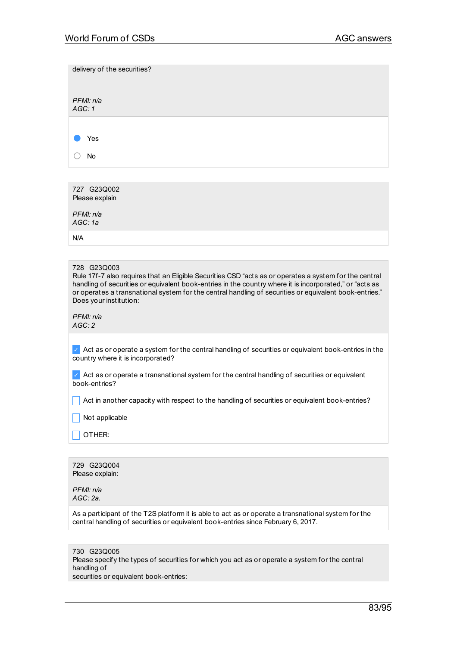| delivery of the securities?                                                                                                                                                                                                                                                                                                                                          |
|----------------------------------------------------------------------------------------------------------------------------------------------------------------------------------------------------------------------------------------------------------------------------------------------------------------------------------------------------------------------|
| PFMI: n/a<br>AGC:1                                                                                                                                                                                                                                                                                                                                                   |
|                                                                                                                                                                                                                                                                                                                                                                      |
| Yes                                                                                                                                                                                                                                                                                                                                                                  |
| No                                                                                                                                                                                                                                                                                                                                                                   |
|                                                                                                                                                                                                                                                                                                                                                                      |
| 727 G23Q002<br>Please explain                                                                                                                                                                                                                                                                                                                                        |
| PFMI: n/a<br>AGC:1a                                                                                                                                                                                                                                                                                                                                                  |
| N/A                                                                                                                                                                                                                                                                                                                                                                  |
|                                                                                                                                                                                                                                                                                                                                                                      |
| 728 G23Q003<br>Rule 17f-7 also requires that an Eligible Securities CSD "acts as or operates a system for the central<br>handling of securities or equivalent book-entries in the country where it is incorporated," or "acts as<br>or operates a transnational system for the central handling of securities or equivalent book-entries."<br>Does your institution: |
| PFMI: n/a<br>AGC:2                                                                                                                                                                                                                                                                                                                                                   |
| Act as or operate a system for the central handling of securities or equivalent book-entries in the<br>country where it is incorporated?                                                                                                                                                                                                                             |
| Act as or operate a transnational system for the central handling of securities or equivalent<br>book-entries?                                                                                                                                                                                                                                                       |
| Act in another capacity with respect to the handling of securities or equivalent book-entries?                                                                                                                                                                                                                                                                       |

 $\Box$  Not applicable

 $\Box$  OTHER:

729 G23Q004 Please explain:

*PFMI: n/a AGC: 2a.*

As a participant of the T2S platform it is able to act as or operate a transnational system for the central handling of securities or equivalent book-entries since February 6, 2017.

730 G23Q005 Please specify the types of securities for which you act as or operate a system for the central handling of securities or equivalent book-entries: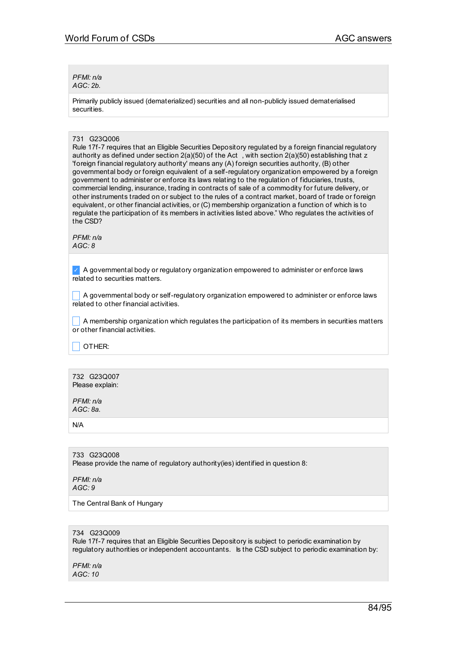*PFMI: n/a AGC: 2b.*

Primarily publicly issued (dematerialized) securities and all non-publicly issued dematerialised securities.

## 731 G23Q006

Rule 17f-7 requires that an Eligible Securities Depository regulated by a foreign financial regulatory authority as defined under section 2(a)(50) of the Act , with section 2(a)(50) establishing that z 'foreign financial regulatory authority' means any (A) foreign securities authority, (B) other governmental body or foreign equivalent of a self-regulatory organization empowered by a foreign government to administer or enforce its laws relating to the regulation of fiduciaries, trusts, commercial lending, insurance, trading in contracts of sale of a commodity for future delivery, or other instruments traded on or subject to the rules of a contract market, board of trade or foreign equivalent, or other financial activities, or (C) membership organization a function of which is to regulate the participation of its members in activities listed above." Who regulates the activities of the CSD?

*PFMI: n/a AGC: 8*

 $\vee$  A governmental body or regulatory organization empowered to administer or enforce laws related to securities matters.

 $\Box$  A governmental body or self-regulatory organization empowered to administer or enforce laws related to other financial activities.

 $\Box$  A membership organization which regulates the participation of its members in securities matters or other financial activities.

\_ OTHER:

732 G23Q007 Please explain:

*PFMI: n/a AGC: 8a.*

N/A

733 G23Q008 Please provide the name of regulatory authority(ies) identified in question 8:

*PFMI: n/a AGC: 9*

The Central Bank of Hungary

## 734 G23Q009

Rule 17f-7 requires that an Eligible Securities Depository is subject to periodic examination by regulatory authorities or independent accountants. Is the CSD subject to periodic examination by:

*PFMI: n/a AGC: 10*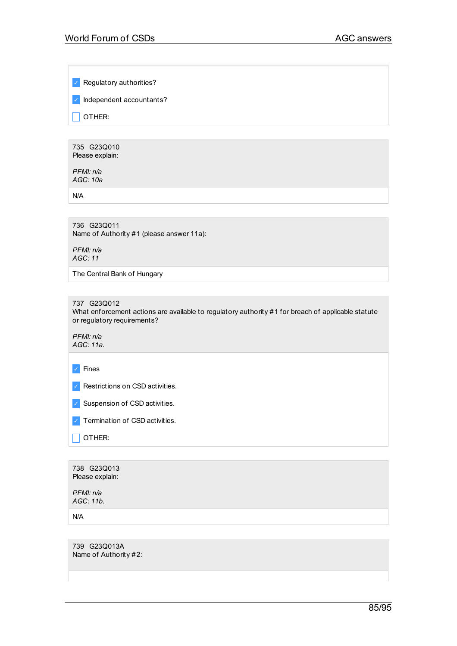✓ Regulatory authorities?

✓ Independent accountants?

 $\Box$  OTHER:

735 G23Q010 Please explain:

*PFMI: n/a AGC: 10a*

N/A

736 G23Q011 Name of Authority #1 (please answer 11a):

*PFMI: n/a AGC: 11*

The Central Bank of Hungary

737 G23Q012 What enforcement actions are available to regulatory authority #1 for breach of applicable statute or regulatory requirements?

*PFMI: n/a AGC: 11a.*

✓ Fines

✓ Restrictions on CSD activities.

✓ Suspension of CSD activities.

✓ Termination of CSD activities.

 $\Box$  OTHER:

738 G23Q013 Please explain: *PFMI: n/a AGC: 11b.* N/A

739 G23Q013A Name of Authority #2: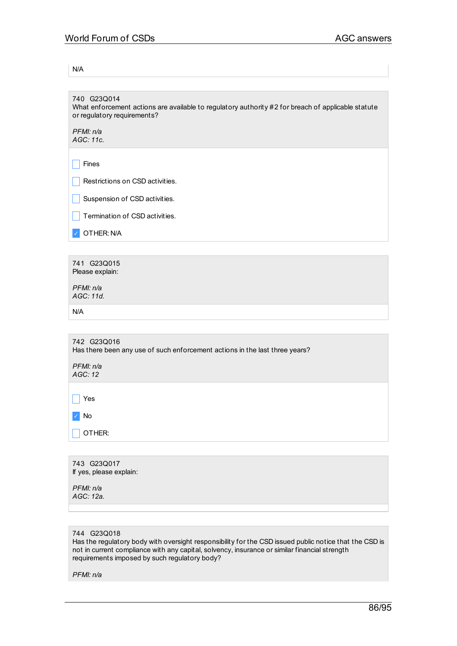N/A

| 740 G23Q014<br>What enforcement actions are available to regulatory authority #2 for breach of applicable statute<br>or regulatory requirements? |
|--------------------------------------------------------------------------------------------------------------------------------------------------|
| PFMI: n/a<br>AGC: 11c.                                                                                                                           |
| Fines                                                                                                                                            |
| Restrictions on CSD activities.                                                                                                                  |
| Suspension of CSD activities.                                                                                                                    |
| Termination of CSD activities.                                                                                                                   |
| OTHER: N/A                                                                                                                                       |
|                                                                                                                                                  |
| 741 G23Q015<br>Please explain:                                                                                                                   |
| PFMI: n/a<br>AGC: 11d.                                                                                                                           |
| N/A                                                                                                                                              |
|                                                                                                                                                  |
| 742 G23Q016<br>Has there been any use of such enforcement actions in the last three years?                                                       |
| PFMI: n/a<br>AGC: 12                                                                                                                             |
| Yes                                                                                                                                              |
| No                                                                                                                                               |
| OTHER:                                                                                                                                           |

| 743 G23Q017<br>If yes, please explain: |  |
|----------------------------------------|--|
| PFMI: n/a<br>AGC: 12a.                 |  |

# 744 G23Q018

Has the regulatory body with oversight responsibility for the CSD issued public notice that the CSD is not in current compliance with any capital, solvency, insurance or similar financial strength requirements imposed by such regulatory body?

*PFMI: n/a*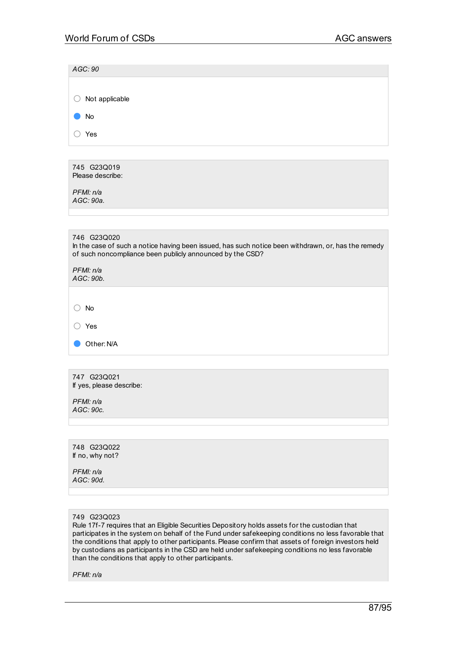| AGC: 90                                                                                                                                                                         |
|---------------------------------------------------------------------------------------------------------------------------------------------------------------------------------|
|                                                                                                                                                                                 |
| Not applicable<br>( )                                                                                                                                                           |
| No                                                                                                                                                                              |
| ∩<br>Yes                                                                                                                                                                        |
|                                                                                                                                                                                 |
| 745 G23Q019<br>Please describe:                                                                                                                                                 |
| PFMI: n/a<br>AGC: 90a.                                                                                                                                                          |
|                                                                                                                                                                                 |
| 746 G23Q020<br>In the case of such a notice having been issued, has such notice been withdrawn, or, has the remedy<br>of such noncompliance been publicly announced by the CSD? |
| PFMI: n/a<br>AGC: 90b.                                                                                                                                                          |
|                                                                                                                                                                                 |
| No                                                                                                                                                                              |
| Yes                                                                                                                                                                             |
| Other: N/A                                                                                                                                                                      |
|                                                                                                                                                                                 |
| 747 G23Q021<br>If yes, please describe:                                                                                                                                         |
| PFMI: n/a<br>AGC: 90c.                                                                                                                                                          |
|                                                                                                                                                                                 |
| 748 G23Q022<br>If no, why not?<br>PFMI: n/a                                                                                                                                     |

#### 749 G23Q023

*AGC: 90d.*

Rule 17f-7 requires that an Eligible Securities Depository holds assets for the custodian that participates in the system on behalf of the Fund under safekeeping conditions no less favorable that the conditions that apply to other participants. Please confirm that assets of foreign investors held by custodians as participants in the CSD are held under safekeeping conditions no less favorable than the conditions that apply to other participants.

*PFMI: n/a*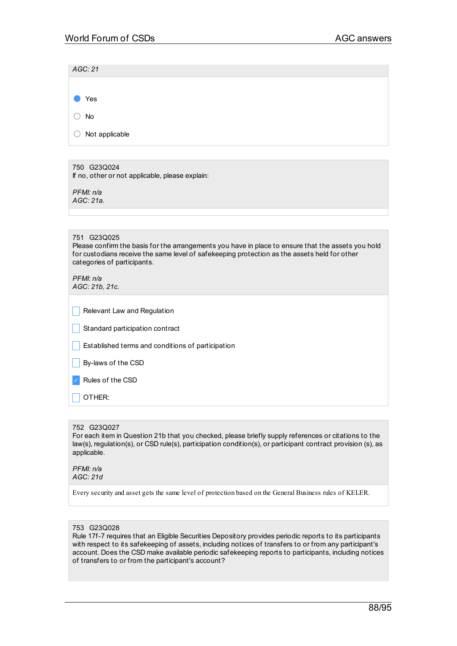| AGC: 21                                                                                                                                                                                                                                          |
|--------------------------------------------------------------------------------------------------------------------------------------------------------------------------------------------------------------------------------------------------|
|                                                                                                                                                                                                                                                  |
| Yes                                                                                                                                                                                                                                              |
| <b>No</b>                                                                                                                                                                                                                                        |
| Not applicable                                                                                                                                                                                                                                   |
|                                                                                                                                                                                                                                                  |
| 750 G23Q024<br>If no, other or not applicable, please explain:                                                                                                                                                                                   |
| PFMI: n/a<br>AGC: 21a.                                                                                                                                                                                                                           |
|                                                                                                                                                                                                                                                  |
|                                                                                                                                                                                                                                                  |
| 751 G23Q025<br>Please confirm the basis for the arrangements you have in place to ensure that the assets you hold<br>for custodians receive the same level of safekeeping protection as the assets held for other<br>categories of participants. |
| PFMI: n/a<br>AGC: 21b, 21c.                                                                                                                                                                                                                      |
|                                                                                                                                                                                                                                                  |

| Relevant Law and Regulation                       |
|---------------------------------------------------|
| Standard participation contract                   |
| Established terms and conditions of participation |
| By-laws of the CSD                                |

Rules of the CSD

\_ OTHER:

#### 752 G23Q027

For each item in Question 21b that you checked, please briefly supply references or citations to the law(s), regulation(s), or CSD rule(s), participation condition(s), or participant contract provision (s), as applicable.

#### *PFMI: n/a AGC: 21d*

Every security and asset gets the same level of protection based on the General Business rules of KELER.

#### 753 G23Q028

Rule 17f-7 requires that an Eligible Securities Depository provides periodic reports to its participants with respect to its safekeeping of assets, including notices of transfers to or from any participant's account. Does the CSD make available periodic safekeeping reports to participants, including notices of transfers to or from the participant's account?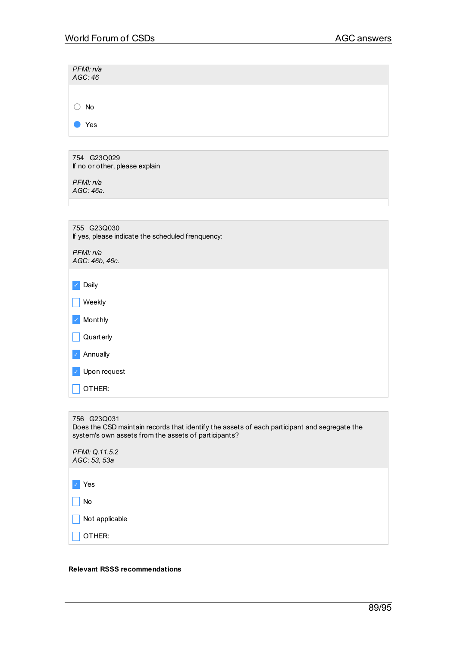| PFMI: n/a<br>AGC: 46                                             |
|------------------------------------------------------------------|
|                                                                  |
| <b>No</b><br>$($ )                                               |
| Yes                                                              |
|                                                                  |
| 754 G23Q029<br>If no or other, please explain                    |
| PFMI: n/a<br>AGC: 46a.                                           |
|                                                                  |
| 755 G23Q030<br>If yes, please indicate the scheduled frenquency: |
| PFMI: n/a<br>AGC: 46b, 46c.                                      |
| Daily<br>$\checkmark$                                            |
| Weekly                                                           |
| Monthly<br>$\checkmark$                                          |
| Quarterly                                                        |
| Annually<br>$\checkmark$                                         |
| Upon request                                                     |
| OTHER:                                                           |
|                                                                  |

756 G23Q031 Does the CSD maintain records that identify the assets of each participant and segregate the system's own assets from the assets of participants? *PFMI: Q.11.5.2 AGC: 53, 53a* ✓ Yes

 $\Box$  No Not applicable \_ OTHER:

# **Relevant RSSS recommendations**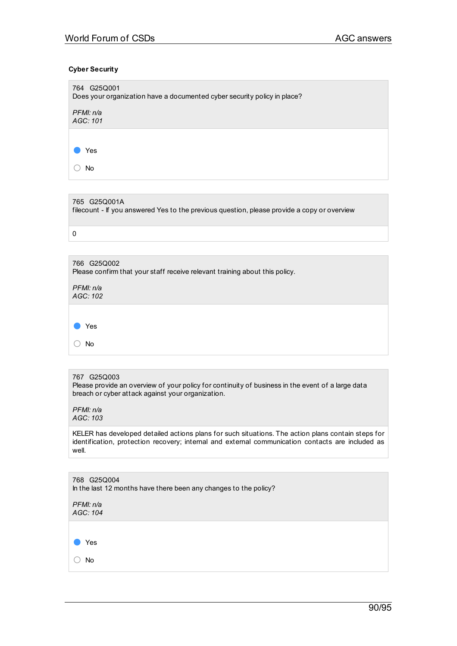# **Cyber Security**

| 764 G25Q001<br>Does your organization have a documented cyber security policy in place? |
|-----------------------------------------------------------------------------------------|
| PFMI: n/a<br>AGC: 101                                                                   |
|                                                                                         |
| Yes                                                                                     |
| No                                                                                      |

| 765 G25Q001A<br>filecount - If you answered Yes to the previous question, please provide a copy or overview |
|-------------------------------------------------------------------------------------------------------------|
|                                                                                                             |

| 766 G25Q002<br>Please confirm that your staff receive relevant training about this policy. |
|--------------------------------------------------------------------------------------------|
| PFMI: n/a<br>AGC: 102                                                                      |
|                                                                                            |
| Yes                                                                                        |
| No                                                                                         |

## 767 G25Q003

Please provide an overview of your policy for continuity of business in the event of a large data breach or cyber attack against your organization.

## *PFMI: n/a AGC: 103*

KELER has developed detailed actions plans for such situations. The action plans contain steps for identification, protection recovery; internal and external communication contacts are included as well.

| 768 G25Q004<br>In the last 12 months have there been any changes to the policy? |
|---------------------------------------------------------------------------------|
| PFMI: n/a<br>AGC: 104                                                           |
|                                                                                 |
| Yes                                                                             |
| No                                                                              |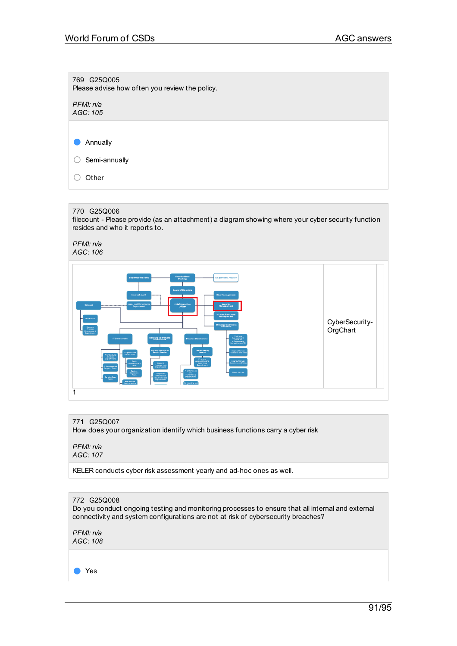769 G25Q005 Please advise how often you review the policy. *PFMI: n/a AGC: 105* ● Annually ○ Semi-annually ○ Other

## 770 G25Q006

filecount - Please provide (as an attachment) a diagram showing where your cyber security function resides and who it reports to.

*PFMI: n/a AGC: 106*



## 771 G25Q007

How does your organization identify which business functions carry a cyber risk

*PFMI: n/a AGC: 107*

KELER conducts cyber risk assessment yearly and ad-hoc ones as well.

## 772 G25Q008

Do you conduct ongoing testing and monitoring processes to ensure that all internal and external connectivity and system configurations are not at risk of cybersecurity breaches?

*PFMI: n/a AGC: 108*

Yes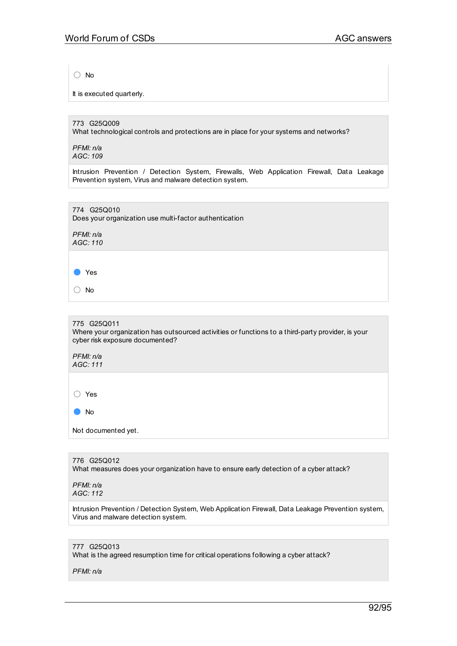○ No

It is executed quarterly.

773 G25Q009

What technological controls and protections are in place for your systems and networks?

*PFMI: n/a AGC: 109*

Intrusion Prevention / Detection System, Firewalls, Web Application Firewall, Data Leakage Prevention system, Virus and malware detection system.

774 G25Q010 Does your organization use multi-factor authentication

*PFMI: n/a AGC: 110*

● Yes

○ No

775 G25Q011

Where your organization has outsourced activities or functions to a third-party provider, is your cyber risk exposure documented?

*PFMI: n/a AGC: 111*

○ Yes

● No

Not documented yet.

776 G25Q012 What measures does your organization have to ensure early detection of a cyber attack?

*PFMI: n/a AGC: 112*

Intrusion Prevention / Detection System, Web Application Firewall, Data Leakage Prevention system, Virus and malware detection system.

777 G25Q013 What is the agreed resumption time for critical operations following a cyber attack?

*PFMI: n/a*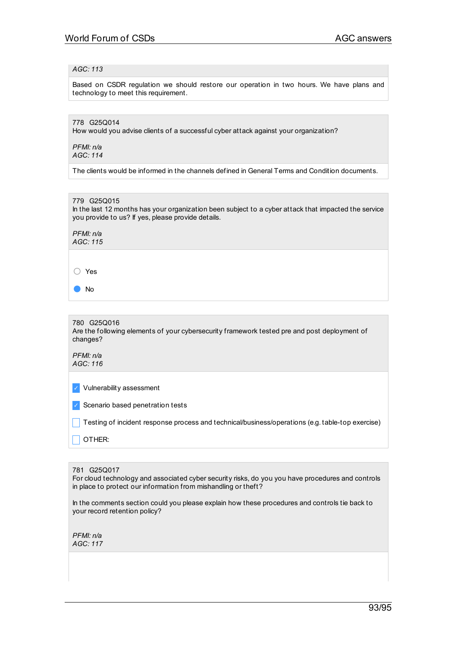## *AGC: 113*

Based on CSDR regulation we should restore our operation in two hours. We have plans and technology to meet this requirement.

# 778 G25Q014

How would you advise clients of a successful cyber attack against your organization?

*PFMI: n/a AGC: 114*

The clients would be informed in the channels defined in General Terms and Condition documents.

779 G25Q015 In the last 12 months has your organization been subject to a cyber attack that impacted the service you provide to us? If yes, please provide details.

*PFMI: n/a AGC: 115*

○ Yes

● No

| 780 G25Q016<br>Are the following elements of your cybersecurity framework tested pre and post deployment of<br>changes? |
|-------------------------------------------------------------------------------------------------------------------------|
| ----                                                                                                                    |

*PFMI: n/a AGC: 116*

✓ Vulnerability assessment

✓ Scenario based penetration tests

\_ Testing of incident response process and technical/business/operations (e.g. table-top exercise)

OTHER:

781 G25Q017

For cloud technology and associated cyber security risks, do you you have procedures and controls in place to protect our information from mishandling or theft?

In the comments section could you please explain how these procedures and controls tie back to your record retention policy?

*PFMI: n/a AGC: 117*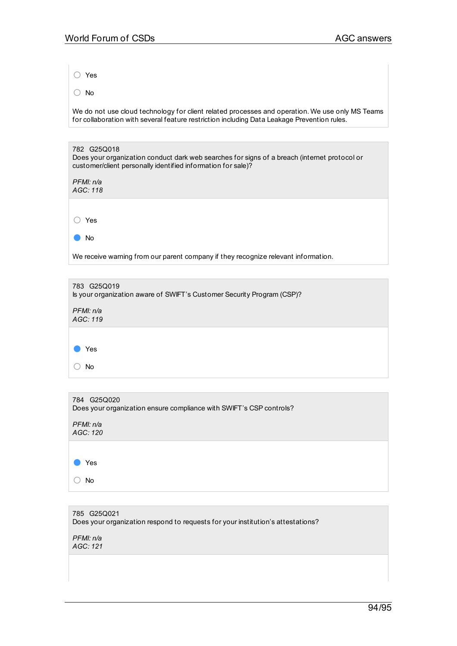○ Yes

○ No

We do not use cloud technology for client related processes and operation. We use only MS Teams for collaboration with several feature restriction including Data Leakage Prevention rules.

| 782 G25Q018<br>Does your organization conduct dark web searches for signs of a breach (internet protocol or<br>customer/client personally identified information for sale)? |
|-----------------------------------------------------------------------------------------------------------------------------------------------------------------------------|
| PFMI: n/a<br>AGC: 118                                                                                                                                                       |
|                                                                                                                                                                             |
| Yes                                                                                                                                                                         |
| No                                                                                                                                                                          |
| We receive warning from our parent company if they recognize relevant information.                                                                                          |

| 783 G25Q019<br>Is your organization aware of SWIFT's Customer Security Program (CSP)? |
|---------------------------------------------------------------------------------------|
| PFMI: n/a<br>AGC: 119                                                                 |
|                                                                                       |
| Yes                                                                                   |
| No                                                                                    |
|                                                                                       |

| 784 G25Q020<br>Does your organization ensure compliance with SWIFT's CSP controls? |
|------------------------------------------------------------------------------------|
| PFMI: n/a<br>AGC: 120                                                              |
| Yes                                                                                |
| No                                                                                 |

785 G25Q021 Does your organization respond to requests for your institution's attestations?

*PFMI: n/a AGC: 121*